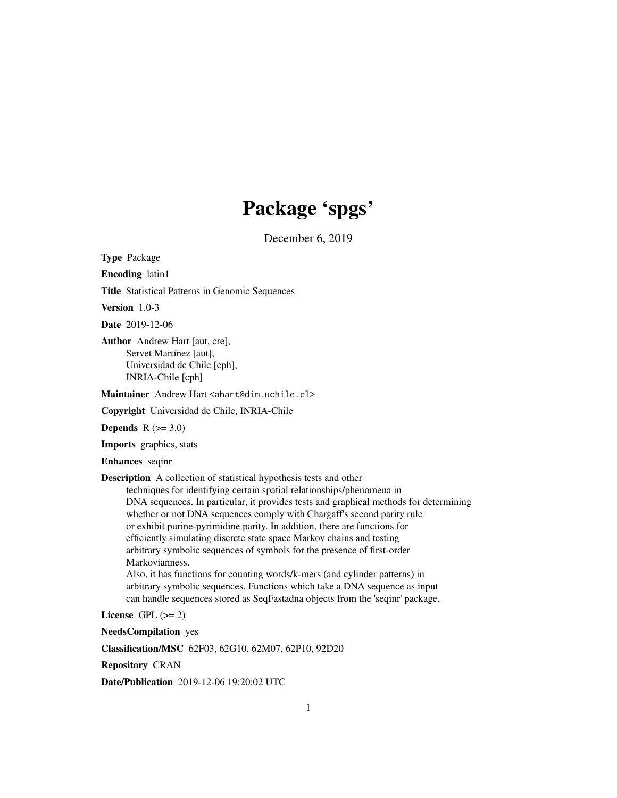# Package 'spgs'

December 6, 2019

<span id="page-0-0"></span>Type Package

Encoding latin1

Title Statistical Patterns in Genomic Sequences

Version 1.0-3

Date 2019-12-06

Author Andrew Hart [aut, cre], Servet Martínez [aut], Universidad de Chile [cph], INRIA-Chile [cph]

Maintainer Andrew Hart <ahart@dim.uchile.cl>

Copyright Universidad de Chile, INRIA-Chile

Depends  $R$  ( $>= 3.0$ )

Imports graphics, stats

Enhances seqinr

Description A collection of statistical hypothesis tests and other

techniques for identifying certain spatial relationships/phenomena in DNA sequences. In particular, it provides tests and graphical methods for determining whether or not DNA sequences comply with Chargaff's second parity rule or exhibit purine-pyrimidine parity. In addition, there are functions for efficiently simulating discrete state space Markov chains and testing arbitrary symbolic sequences of symbols for the presence of first-order Markovianness.

Also, it has functions for counting words/k-mers (and cylinder patterns) in arbitrary symbolic sequences. Functions which take a DNA sequence as input can handle sequences stored as SeqFastadna objects from the 'seqinr' package.

License GPL  $(>= 2)$ 

NeedsCompilation yes

Classification/MSC 62F03, 62G10, 62M07, 62P10, 92D20

Repository CRAN

Date/Publication 2019-12-06 19:20:02 UTC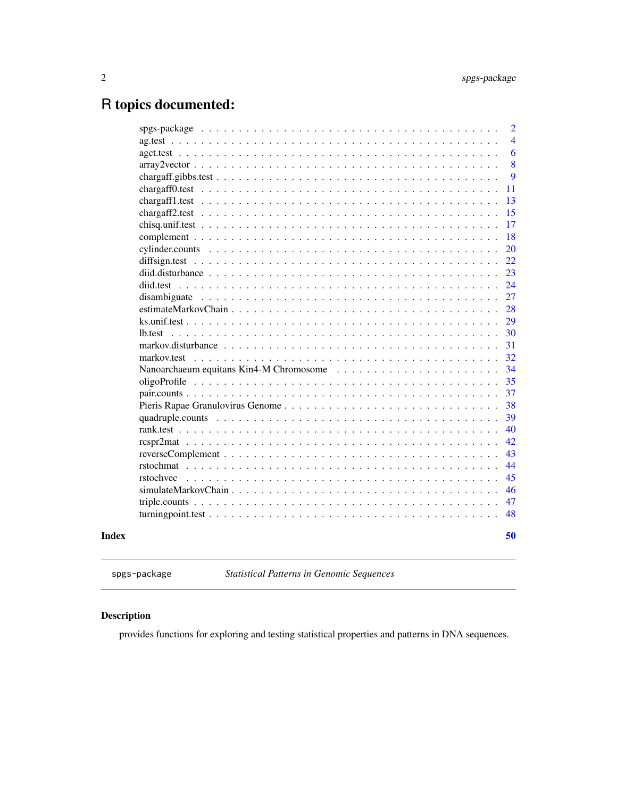# <span id="page-1-0"></span>R topics documented:

|       |             | 2              |
|-------|-------------|----------------|
|       |             | $\overline{4}$ |
|       |             | 6              |
|       |             | 8              |
|       |             | 9              |
|       |             | 11             |
|       |             | 13             |
|       |             | 15             |
|       |             | 17             |
|       |             | 18             |
|       |             | 20             |
|       |             | 22             |
|       |             | 23             |
|       |             | 24             |
|       |             | 27             |
|       |             | 28             |
|       |             | 29             |
|       | lb.test     | 30             |
|       |             | 31             |
|       | markov.test | 32             |
|       |             | 34             |
|       |             | 35             |
|       |             | 37             |
|       |             | 38             |
|       |             | 39             |
|       |             | 40             |
|       |             | 42             |
|       |             | 43             |
|       |             | 44             |
|       | rstochvec   | 45             |
|       |             | 46             |
|       |             | 47             |
|       |             | 48             |
| Index |             | 50             |
|       |             |                |

spgs-package *Statistical Patterns in Genomic Sequences*

# Description

provides functions for exploring and testing statistical properties and patterns in DNA sequences.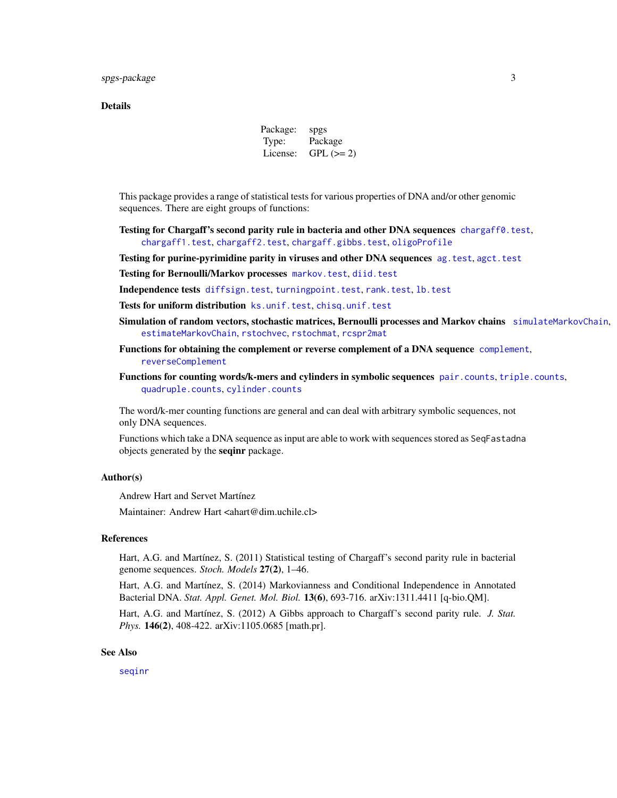# <span id="page-2-0"></span>Details

Package: spgs Type: Package License: GPL  $(>= 2)$ 

This package provides a range of statistical tests for various properties of DNA and/or other genomic sequences. There are eight groups of functions:

- Testing for Chargaff's second parity rule in bacteria and other DNA sequences [chargaff0.test](#page-10-1), [chargaff1.test](#page-12-1), [chargaff2.test](#page-14-1), [chargaff.gibbs.test](#page-8-1), [oligoProfile](#page-34-1)
- Testing for purine-pyrimidine parity in viruses and other DNA sequences [ag.test](#page-3-1), [agct.test](#page-5-1)
- Testing for Bernoulli/Markov processes [markov.test](#page-31-1), [diid.test](#page-23-1)
- Independence tests [diffsign.test](#page-21-1), [turningpoint.test](#page-47-1), [rank.test](#page-39-1), [lb.test](#page-29-1)
- Tests for uniform distribution [ks.unif.test](#page-28-1), [chisq.unif.test](#page-16-1)
- Simulation of random vectors, stochastic matrices, Bernoulli processes and Markov chains [simulateMarkovChain](#page-45-1), [estimateMarkovChain](#page-27-1), [rstochvec](#page-44-1), [rstochmat](#page-43-1), [rcspr2mat](#page-41-1)
- Functions for obtaining the complement or reverse complement of a DNA sequence [complement](#page-17-1), [reverseComplement](#page-42-1)
- Functions for counting words/k-mers and cylinders in symbolic sequences [pair.counts](#page-36-1), [triple.counts](#page-46-1), [quadruple.counts](#page-38-1), [cylinder.counts](#page-19-1)

The word/k-mer counting functions are general and can deal with arbitrary symbolic sequences, not only DNA sequences.

Functions which take a DNA sequence as input are able to work with sequences stored as SeqFastadna objects generated by the seqinr package.

# Author(s)

Andrew Hart and Servet Martínez

Maintainer: Andrew Hart <ahart@dim.uchile.cl>

# References

Hart, A.G. and Martínez, S. (2011) Statistical testing of Chargaff's second parity rule in bacterial genome sequences. *Stoch. Models* 27(2), 1–46.

Hart, A.G. and Martínez, S. (2014) Markovianness and Conditional Independence in Annotated Bacterial DNA. *Stat. Appl. Genet. Mol. Biol.* 13(6), 693-716. arXiv:1311.4411 [q-bio.QM].

Hart, A.G. and Martínez, S. (2012) A Gibbs approach to Chargaff's second parity rule. *J. Stat. Phys.* 146(2), 408-422. arXiv:1105.0685 [math.pr].

#### See Also

[seqinr](#page-0-0)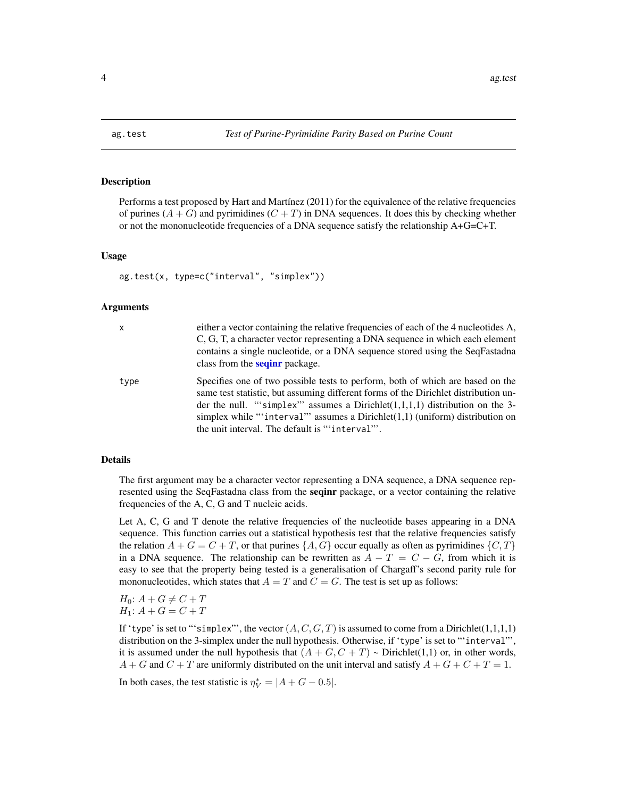<span id="page-3-1"></span><span id="page-3-0"></span>

Performs a test proposed by Hart and Martínez (2011) for the equivalence of the relative frequencies of purines  $(A + G)$  and pyrimidines  $(C + T)$  in DNA sequences. It does this by checking whether or not the mononucleotide frequencies of a DNA sequence satisfy the relationship A+G=C+T.

#### Usage

```
ag.test(x, type=c("interval", "simplex"))
```
#### Arguments

| X    | either a vector containing the relative frequencies of each of the 4 nucleotides A,<br>C, G, T, a character vector representing a DNA sequence in which each element<br>contains a single nucleotide, or a DNA sequence stored using the SeqFastadna<br>class from the <b>seginr</b> package.                                                                                                  |
|------|------------------------------------------------------------------------------------------------------------------------------------------------------------------------------------------------------------------------------------------------------------------------------------------------------------------------------------------------------------------------------------------------|
| type | Specifies one of two possible tests to perform, both of which are based on the<br>same test statistic, but assuming different forms of the Dirichlet distribution un-<br>der the null. "'simplex" assumes a Dirichlet $(1,1,1,1)$ distribution on the 3-<br>simplex while "'interval" assumes a Dirichlet $(1,1)$ (uniform) distribution on<br>the unit interval. The default is "'interval"'. |

#### Details

The first argument may be a character vector representing a DNA sequence, a DNA sequence represented using the SeqFastadna class from the seqinr package, or a vector containing the relative frequencies of the A, C, G and T nucleic acids.

Let A, C, G and T denote the relative frequencies of the nucleotide bases appearing in a DNA sequence. This function carries out a statistical hypothesis test that the relative frequencies satisfy the relation  $A + G = C + T$ , or that purines  $\{A, G\}$  occur equally as often as pyrimidines  $\{C, T\}$ in a DNA sequence. The relationship can be rewritten as  $A - T = C - G$ , from which it is easy to see that the property being tested is a generalisation of Chargaff's second parity rule for mononucleotides, which states that  $A = T$  and  $C = G$ . The test is set up as follows:

 $H_0$ :  $A + G \neq C + T$  $H_1$ :  $A + G = C + T$ 

If 'type' is set to "'simplex"', the vector  $(A, C, G, T)$  is assumed to come from a Dirichlet $(1,1,1,1)$ distribution on the 3-simplex under the null hypothesis. Otherwise, if 'type' is set to "'interval"', it is assumed under the null hypothesis that  $(A + G, C + T) \sim$  Dirichlet(1,1) or, in other words,  $A + G$  and  $C + T$  are uniformly distributed on the unit interval and satisfy  $A + G + C + T = 1$ .

In both cases, the test statistic is  $\eta_V^* = |A + G - 0.5|$ .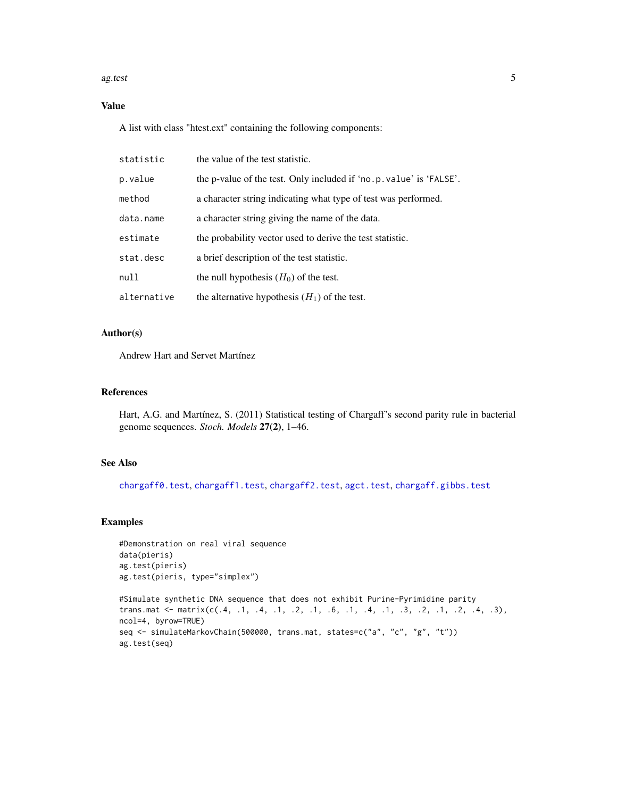#### <span id="page-4-0"></span>ag.test 5

# Value

A list with class "htest.ext" containing the following components:

| statistic   | the value of the test statistic.                                    |
|-------------|---------------------------------------------------------------------|
| p.value     | the p-value of the test. Only included if 'no.p. value' is 'FALSE'. |
| method      | a character string indicating what type of test was performed.      |
| data.name   | a character string giving the name of the data.                     |
| estimate    | the probability vector used to derive the test statistic.           |
| stat.desc   | a brief description of the test statistic.                          |
| null        | the null hypothesis $(H_0)$ of the test.                            |
| alternative | the alternative hypothesis $(H_1)$ of the test.                     |

# Author(s)

Andrew Hart and Servet Martínez

# References

Hart, A.G. and Martínez, S. (2011) Statistical testing of Chargaff's second parity rule in bacterial genome sequences. *Stoch. Models* 27(2), 1–46.

# See Also

[chargaff0.test](#page-10-1), [chargaff1.test](#page-12-1), [chargaff2.test](#page-14-1), [agct.test](#page-5-1), [chargaff.gibbs.test](#page-8-1)

# Examples

```
#Demonstration on real viral sequence
data(pieris)
ag.test(pieris)
ag.test(pieris, type="simplex")
```

```
#Simulate synthetic DNA sequence that does not exhibit Purine-Pyrimidine parity
trans.mat \leq matrix(c(.4, .1, .4, .1, .2, .1, .6, .1, .4, .1, .3, .2, .1, .2, .4, .3),
ncol=4, byrow=TRUE)
seq <- simulateMarkovChain(500000, trans.mat, states=c("a", "c", "g", "t"))
ag.test(seq)
```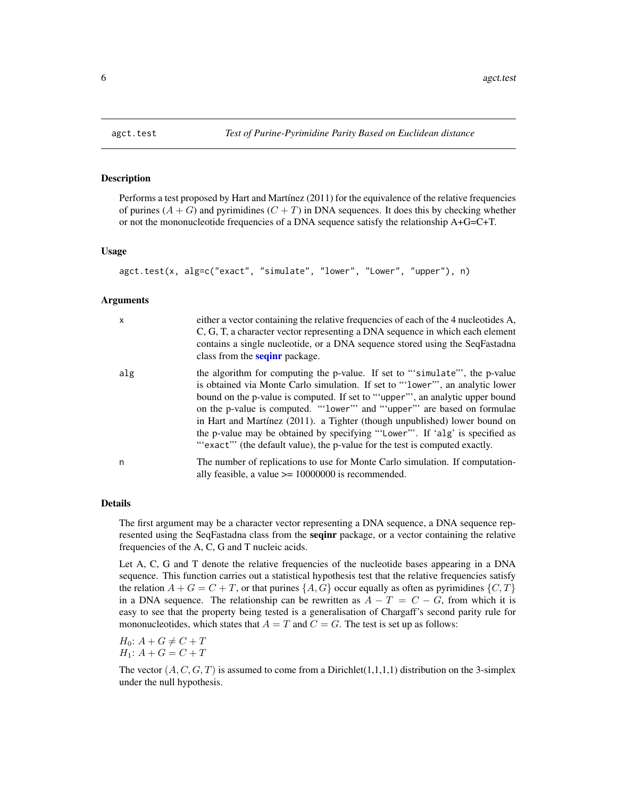<span id="page-5-1"></span><span id="page-5-0"></span>

Performs a test proposed by Hart and Martínez (2011) for the equivalence of the relative frequencies of purines  $(A + G)$  and pyrimidines  $(C + T)$  in DNA sequences. It does this by checking whether or not the mononucleotide frequencies of a DNA sequence satisfy the relationship A+G=C+T.

#### Usage

```
agct.test(x, alg=c("exact", "simulate", "lower", "Lower", "upper"), n)
```
#### Arguments

| $\mathsf{x}$ | either a vector containing the relative frequencies of each of the 4 nucleotides A,<br>C, G, T, a character vector representing a DNA sequence in which each element<br>contains a single nucleotide, or a DNA sequence stored using the SeqFastadna<br>class from the <b>seginr</b> package.                                                                                                                                                                                                                                                                           |
|--------------|-------------------------------------------------------------------------------------------------------------------------------------------------------------------------------------------------------------------------------------------------------------------------------------------------------------------------------------------------------------------------------------------------------------------------------------------------------------------------------------------------------------------------------------------------------------------------|
| alg          | the algorithm for computing the p-value. If set to "simulate", the p-value<br>is obtained via Monte Carlo simulation. If set to "'lower"', an analytic lower<br>bound on the p-value is computed. If set to "upper", an analytic upper bound<br>on the p-value is computed. "'lower'" and "'upper'" are based on formulae<br>in Hart and Martínez (2011). a Tighter (though unpublished) lower bound on<br>the p-value may be obtained by specifying "'Lower'". If 'alg' is specified as<br>"'exact" (the default value), the p-value for the test is computed exactly. |
| n            | The number of replications to use for Monte Carlo simulation. If computation-<br>ally feasible, a value $\ge$ = 10000000 is recommended.                                                                                                                                                                                                                                                                                                                                                                                                                                |

# Details

The first argument may be a character vector representing a DNA sequence, a DNA sequence represented using the SeqFastadna class from the **seqinr** package, or a vector containing the relative frequencies of the A, C, G and T nucleic acids.

Let A, C, G and T denote the relative frequencies of the nucleotide bases appearing in a DNA sequence. This function carries out a statistical hypothesis test that the relative frequencies satisfy the relation  $A + G = C + T$ , or that purines  $\{A, G\}$  occur equally as often as pyrimidines  $\{C, T\}$ in a DNA sequence. The relationship can be rewritten as  $A - T = C - G$ , from which it is easy to see that the property being tested is a generalisation of Chargaff's second parity rule for mononucleotides, which states that  $A = T$  and  $C = G$ . The test is set up as follows:

 $H_0$ :  $A + G \neq C + T$  $H_1: A + G = C + T$ 

The vector  $(A, C, G, T)$  is assumed to come from a Dirichlet $(1,1,1,1)$  distribution on the 3-simplex under the null hypothesis.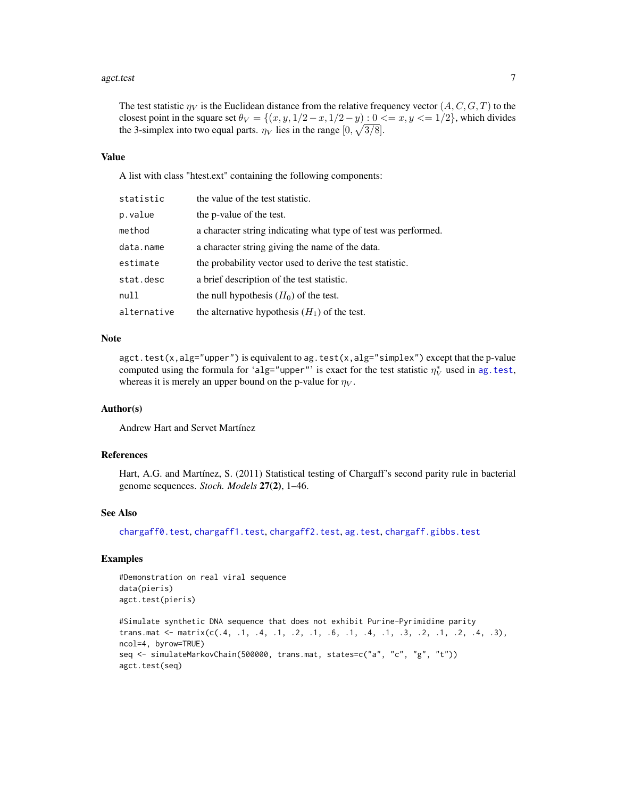#### <span id="page-6-0"></span>agct.test 7

The test statistic  $\eta_V$  is the Euclidean distance from the relative frequency vector  $(A, C, G, T)$  to the closest point in the square set  $\theta_V = \{(x, y, 1/2 - x, 1/2 - y) : 0 \le x, y \le 1/2\}$ , which divides the 3-simplex into two equal parts.  $\eta_V$  lies in the range  $[0, \sqrt{3/8}]$ .

#### Value

A list with class "htest.ext" containing the following components:

| statistic   | the value of the test statistic.                               |
|-------------|----------------------------------------------------------------|
| p.value     | the p-value of the test.                                       |
| method      | a character string indicating what type of test was performed. |
| data.name   | a character string giving the name of the data.                |
| estimate    | the probability vector used to derive the test statistic.      |
| stat.desc   | a brief description of the test statistic.                     |
| null        | the null hypothesis $(H_0)$ of the test.                       |
| alternative | the alternative hypothesis $(H_1)$ of the test.                |

# Note

agct.test(x,alg="upper") is equivalent to ag.test(x,alg="simplex") except that the p-value computed using the formula for 'alg="upper"' is exact for the test statistic  $\eta_V^*$  used in ag. test, whereas it is merely an upper bound on the p-value for  $\eta_V$ .

# Author(s)

Andrew Hart and Servet Martínez

# References

Hart, A.G. and Martínez, S. (2011) Statistical testing of Chargaff's second parity rule in bacterial genome sequences. *Stoch. Models* 27(2), 1–46.

# See Also

[chargaff0.test](#page-10-1), [chargaff1.test](#page-12-1), [chargaff2.test](#page-14-1), [ag.test](#page-3-1), [chargaff.gibbs.test](#page-8-1)

# Examples

```
#Demonstration on real viral sequence
data(pieris)
agct.test(pieris)
```

```
#Simulate synthetic DNA sequence that does not exhibit Purine-Pyrimidine parity
trans.mat \leq matrix(c(.4, .1, .4, .1, .2, .1, .6, .1, .4, .1, .3, .2, .1, .2, .4, .3),
ncol=4, byrow=TRUE)
seq <- simulateMarkovChain(500000, trans.mat, states=c("a", "c", "g", "t"))
agct.test(seq)
```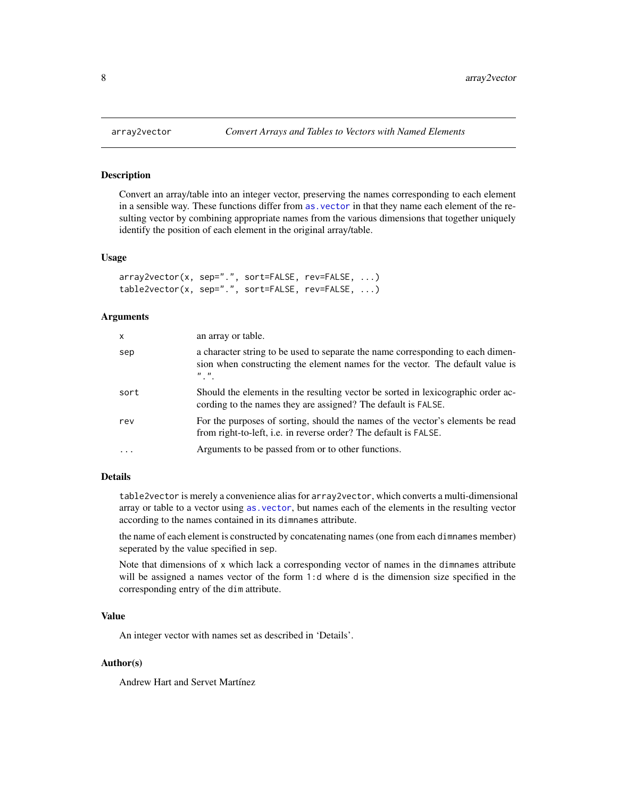Convert an array/table into an integer vector, preserving the names corresponding to each element in a sensible way. These functions differ from [as.vector](#page-0-0) in that they name each element of the resulting vector by combining appropriate names from the various dimensions that together uniquely identify the position of each element in the original array/table.

#### Usage

```
array2vector(x, sep=".", sort=FALSE, rev=FALSE, ...)
table2vector(x, sep=".", sort=FALSE, rev=FALSE, ...)
```
# Arguments

| $\mathsf{x}$ | an array or table.                                                                                                                                                                                    |
|--------------|-------------------------------------------------------------------------------------------------------------------------------------------------------------------------------------------------------|
| sep          | a character string to be used to separate the name corresponding to each dimen-<br>sion when constructing the element names for the vector. The default value is<br>$\boldsymbol{n}$ $\boldsymbol{n}$ |
| sort         | Should the elements in the resulting vector be sorted in lexicographic order ac-<br>cording to the names they are assigned? The default is FALSE.                                                     |
| rev          | For the purposes of sorting, should the names of the vector's elements be read<br>from right-to-left, i.e. in reverse order? The default is FALSE.                                                    |
|              | Arguments to be passed from or to other functions.                                                                                                                                                    |

# Details

table2vector is merely a convenience alias for array2vector, which converts a multi-dimensional array or table to a vector using [as.vector](#page-0-0), but names each of the elements in the resulting vector according to the names contained in its dimnames attribute.

the name of each element is constructed by concatenating names (one from each dimnames member) seperated by the value specified in sep.

Note that dimensions of x which lack a corresponding vector of names in the dimnames attribute will be assigned a names vector of the form 1:d where d is the dimension size specified in the corresponding entry of the dim attribute.

#### Value

An integer vector with names set as described in 'Details'.

# Author(s)

Andrew Hart and Servet Martínez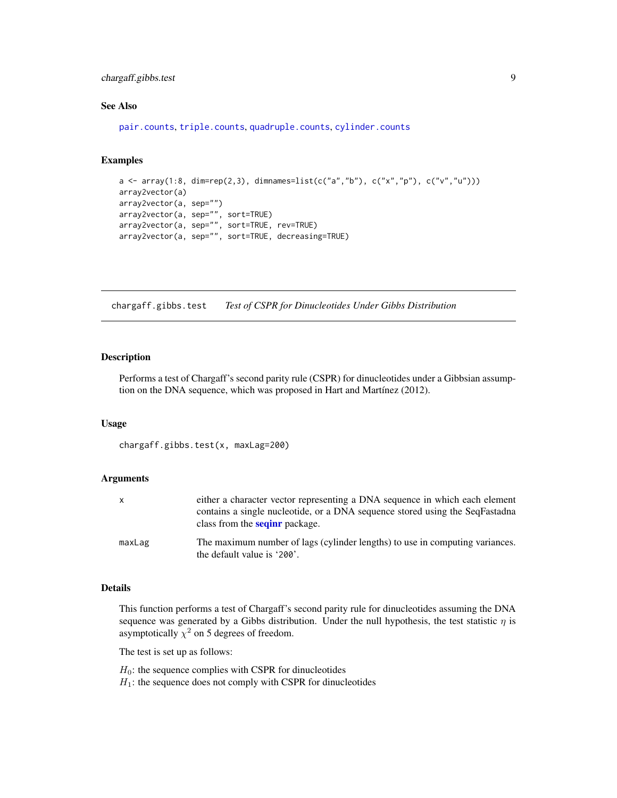# <span id="page-8-0"></span>chargaff.gibbs.test 9

# See Also

[pair.counts](#page-36-1), [triple.counts](#page-46-1), [quadruple.counts](#page-38-1), [cylinder.counts](#page-19-1)

# Examples

```
a <- array(1:8, dim=rep(2,3), dimnames=list(c("a","b"), c("x","p"), c("v","u")))
array2vector(a)
array2vector(a, sep="")
array2vector(a, sep="", sort=TRUE)
array2vector(a, sep="", sort=TRUE, rev=TRUE)
array2vector(a, sep="", sort=TRUE, decreasing=TRUE)
```
<span id="page-8-1"></span>chargaff.gibbs.test *Test of CSPR for Dinucleotides Under Gibbs Distribution*

# Description

Performs a test of Chargaff's second parity rule (CSPR) for dinucleotides under a Gibbsian assumption on the DNA sequence, which was proposed in Hart and Martínez (2012).

#### Usage

```
chargaff.gibbs.test(x, maxLag=200)
```
#### Arguments

|        | either a character vector representing a DNA sequence in which each element<br>contains a single nucleotide, or a DNA sequence stored using the SeqFastadna<br>class from the <b>seginr</b> package. |
|--------|------------------------------------------------------------------------------------------------------------------------------------------------------------------------------------------------------|
| maxLag | The maximum number of lags (cylinder lengths) to use in computing variances.<br>the default value is '200'.                                                                                          |

#### Details

This function performs a test of Chargaff's second parity rule for dinucleotides assuming the DNA sequence was generated by a Gibbs distribution. Under the null hypothesis, the test statistic  $\eta$  is asymptotically  $\chi^2$  on 5 degrees of freedom.

The test is set up as follows:

 $H_0$ : the sequence complies with CSPR for dinucleotides

 $H_1$ : the sequence does not comply with CSPR for dinucleotides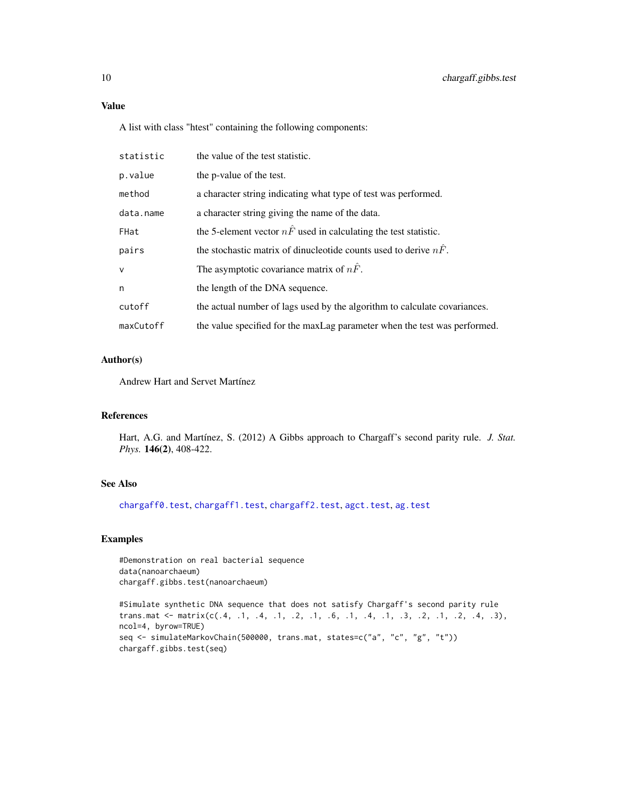# <span id="page-9-0"></span>Value

A list with class "htest" containing the following components:

| statistic | the value of the test statistic.                                          |
|-----------|---------------------------------------------------------------------------|
| p.value   | the p-value of the test.                                                  |
| method    | a character string indicating what type of test was performed.            |
| data.name | a character string giving the name of the data.                           |
| FHat      | the 5-element vector $n\hat{F}$ used in calculating the test statistic.   |
| pairs     | the stochastic matrix of dinucleotide counts used to derive $n\hat{F}$ .  |
| $\vee$    | The asymptotic covariance matrix of $n\hat{F}$ .                          |
| n         | the length of the DNA sequence.                                           |
| cutoff    | the actual number of lags used by the algorithm to calculate covariances. |
| maxCutoff | the value specified for the maxLag parameter when the test was performed. |

# Author(s)

Andrew Hart and Servet Martínez

# References

Hart, A.G. and Martínez, S. (2012) A Gibbs approach to Chargaff's second parity rule. *J. Stat. Phys.* 146(2), 408-422.

# See Also

[chargaff0.test](#page-10-1), [chargaff1.test](#page-12-1), [chargaff2.test](#page-14-1), [agct.test](#page-5-1), [ag.test](#page-3-1)

# Examples

#Demonstration on real bacterial sequence data(nanoarchaeum) chargaff.gibbs.test(nanoarchaeum)

#Simulate synthetic DNA sequence that does not satisfy Chargaff's second parity rule trans.mat  $\leq$  matrix(c(.4, .1, .4, .1, .2, .1, .6, .1, .4, .1, .3, .2, .1, .2, .4, .3), ncol=4, byrow=TRUE) seq <- simulateMarkovChain(500000, trans.mat, states=c("a", "c", "g", "t")) chargaff.gibbs.test(seq)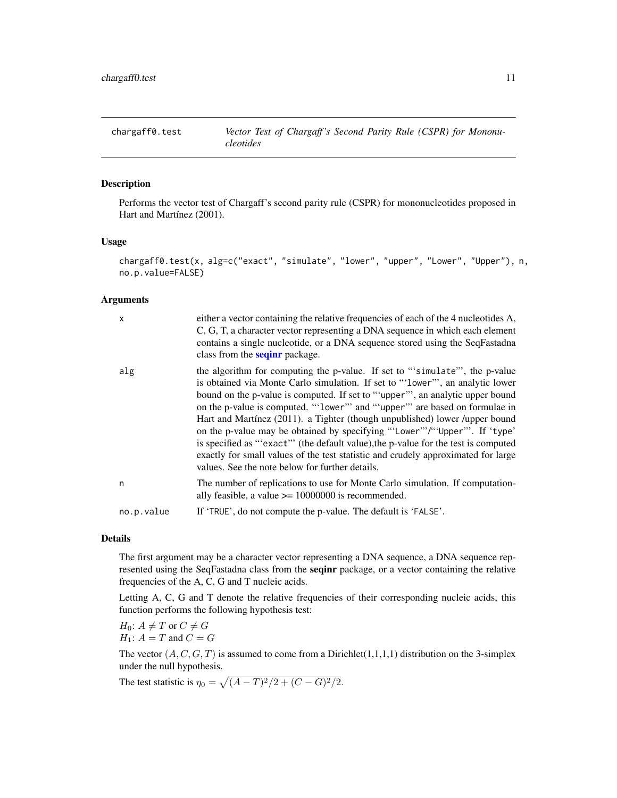<span id="page-10-1"></span><span id="page-10-0"></span>

Performs the vector test of Chargaff's second parity rule (CSPR) for mononucleotides proposed in Hart and Martínez (2001).

#### Usage

```
chargaff0.test(x, alg=c("exact", "simulate", "lower", "upper", "Lower", "Upper"), n,
no.p.value=FALSE)
```
#### Arguments

| $\mathsf{x}$ | either a vector containing the relative frequencies of each of the 4 nucleotides A,<br>C, G, T, a character vector representing a DNA sequence in which each element<br>contains a single nucleotide, or a DNA sequence stored using the SeqFastadna<br>class from the <b>seqinr</b> package.                                                                                                                                                                                                                                                                                                                                                                                                                         |
|--------------|-----------------------------------------------------------------------------------------------------------------------------------------------------------------------------------------------------------------------------------------------------------------------------------------------------------------------------------------------------------------------------------------------------------------------------------------------------------------------------------------------------------------------------------------------------------------------------------------------------------------------------------------------------------------------------------------------------------------------|
| alg          | the algorithm for computing the p-value. If set to "simulate", the p-value<br>is obtained via Monte Carlo simulation. If set to "'lower"', an analytic lower<br>bound on the p-value is computed. If set to "upper", an analytic upper bound<br>on the p-value is computed. "Tower" and "upper" are based on formulae in<br>Hart and Martínez (2011). a Tighter (though unpublished) lower /upper bound<br>on the p-value may be obtained by specifying "'Lower"'/"'Upper"'. If 'type'<br>is specified as "'exact"' (the default value), the p-value for the test is computed<br>exactly for small values of the test statistic and crudely approximated for large<br>values. See the note below for further details. |
| n            | The number of replications to use for Monte Carlo simulation. If computation-<br>ally feasible, a value $\ge$ = 10000000 is recommended.                                                                                                                                                                                                                                                                                                                                                                                                                                                                                                                                                                              |
| no.p.value   | If 'TRUE', do not compute the p-value. The default is 'FALSE'.                                                                                                                                                                                                                                                                                                                                                                                                                                                                                                                                                                                                                                                        |

# Details

The first argument may be a character vector representing a DNA sequence, a DNA sequence represented using the SeqFastadna class from the seqinr package, or a vector containing the relative frequencies of the A, C, G and T nucleic acids.

Letting A, C, G and T denote the relative frequencies of their corresponding nucleic acids, this function performs the following hypothesis test:

 $H_0$ :  $A \neq T$  or  $C \neq G$  $H_1$ :  $A = T$  and  $C = G$ 

The vector  $(A, C, G, T)$  is assumed to come from a Dirichlet $(1,1,1,1)$  distribution on the 3-simplex under the null hypothesis.

The test statistic is  $\eta_0 = \sqrt{(A-T)^2/2 + (C-G)^2/2}.$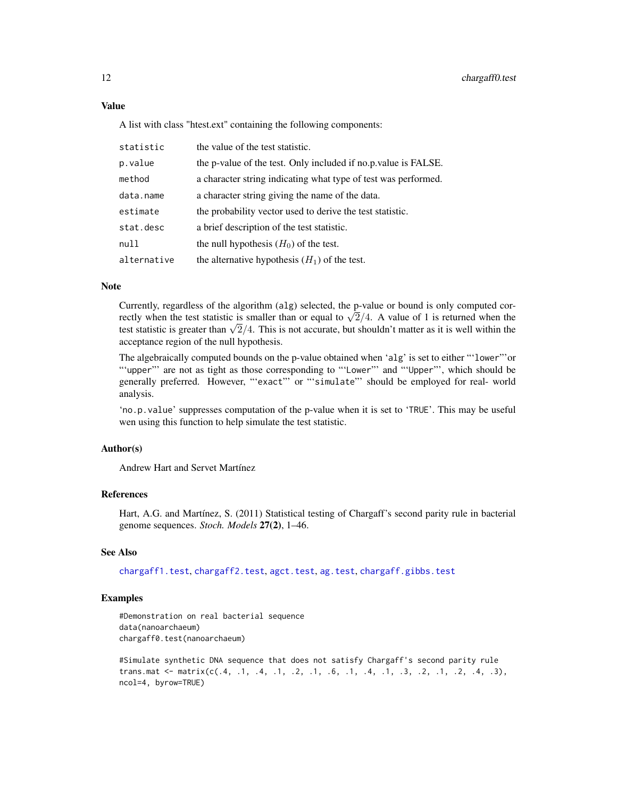A list with class "htest.ext" containing the following components:

| statistic   | the value of the test statistic.                                |
|-------------|-----------------------------------------------------------------|
| p.value     | the p-value of the test. Only included if no.p. value is FALSE. |
| method      | a character string indicating what type of test was performed.  |
| data.name   | a character string giving the name of the data.                 |
| estimate    | the probability vector used to derive the test statistic.       |
| stat.desc   | a brief description of the test statistic.                      |
| null        | the null hypothesis $(H_0)$ of the test.                        |
| alternative | the alternative hypothesis $(H_1)$ of the test.                 |

#### Note

Currently, regardless of the algorithm (alg) selected, the p-value or bound is only computed cor-Currently, regardless of the algorithm (a.i.g.) selected, the p-value or bound is only computed correctly when the test statistic is smaller than or equal to  $\sqrt{2}/4$ . A value of 1 is returned when the rectly when the test statistic is smaller than or equal to  $\sqrt{2}/4$ . A value of 1 is returned when the test statistic is greater than  $\sqrt{2}/4$ . This is not accurate, but shouldn't matter as it is well within the acceptance region of the null hypothesis.

The algebraically computed bounds on the p-value obtained when 'alg' is set to either "'lower"'or "'upper"' are not as tight as those corresponding to "'Lower"' and "'Upper"', which should be generally preferred. However, "'exact"' or "'simulate"' should be employed for real- world analysis.

'no.p.value' suppresses computation of the p-value when it is set to 'TRUE'. This may be useful wen using this function to help simulate the test statistic.

# Author(s)

Andrew Hart and Servet Martínez

## References

Hart, A.G. and Martínez, S. (2011) Statistical testing of Chargaff's second parity rule in bacterial genome sequences. *Stoch. Models* 27(2), 1–46.

#### See Also

[chargaff1.test](#page-12-1), [chargaff2.test](#page-14-1), [agct.test](#page-5-1), [ag.test](#page-3-1), [chargaff.gibbs.test](#page-8-1)

#### Examples

#Demonstration on real bacterial sequence data(nanoarchaeum) chargaff0.test(nanoarchaeum)

```
#Simulate synthetic DNA sequence that does not satisfy Chargaff's second parity rule
trans.mat \leq matrix(c(.4, .1, .4, .1, .2, .1, .6, .1, .4, .1, .3, .2, .1, .2, .4, .3),
ncol=4, byrow=TRUE)
```
<span id="page-11-0"></span>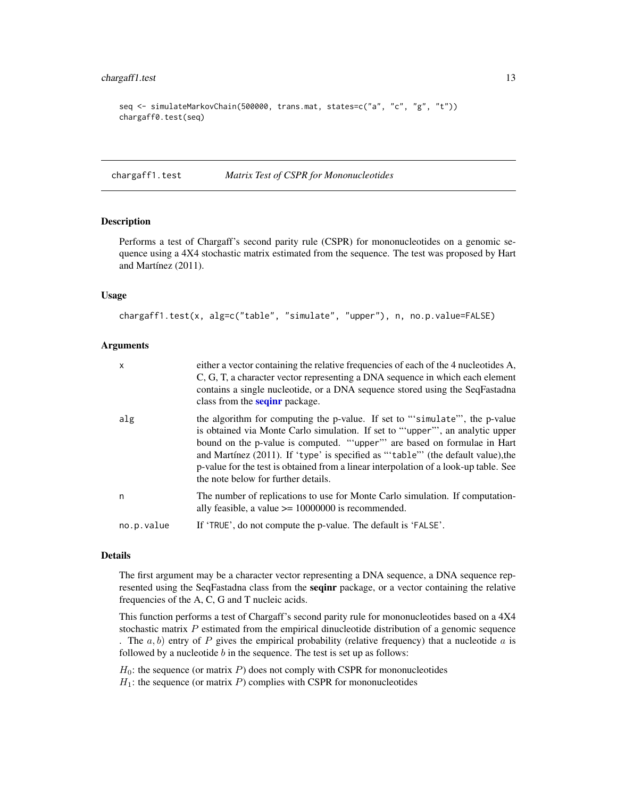# <span id="page-12-0"></span>chargaff1.test 13

```
seq <- simulateMarkovChain(500000, trans.mat, states=c("a", "c", "g", "t"))
chargaff0.test(seq)
```
<span id="page-12-1"></span>chargaff1.test *Matrix Test of CSPR for Mononucleotides*

# Description

Performs a test of Chargaff's second parity rule (CSPR) for mononucleotides on a genomic sequence using a 4X4 stochastic matrix estimated from the sequence. The test was proposed by Hart and Martínez (2011).

#### Usage

```
chargaff1.test(x, alg=c("table", "simulate", "upper"), n, no.p.value=FALSE)
```
#### Arguments

| $\mathsf{x}$ | either a vector containing the relative frequencies of each of the 4 nucleotides A,<br>C, G, T, a character vector representing a DNA sequence in which each element<br>contains a single nucleotide, or a DNA sequence stored using the SeqFastadna<br>class from the <b>seqinr</b> package.                                                                                                                                                             |
|--------------|-----------------------------------------------------------------------------------------------------------------------------------------------------------------------------------------------------------------------------------------------------------------------------------------------------------------------------------------------------------------------------------------------------------------------------------------------------------|
| alg          | the algorithm for computing the p-value. If set to "simulate", the p-value<br>is obtained via Monte Carlo simulation. If set to "upper", an analytic upper<br>bound on the p-value is computed. ""upper" are based on formulae in Hart<br>and Martínez (2011). If 'type' is specified as "'table" (the default value), the<br>p-value for the test is obtained from a linear interpolation of a look-up table. See<br>the note below for further details. |
| n            | The number of replications to use for Monte Carlo simulation. If computation-<br>ally feasible, a value $\ge$ = 10000000 is recommended.                                                                                                                                                                                                                                                                                                                  |
| no.p.value   | If 'TRUE', do not compute the p-value. The default is 'FALSE'.                                                                                                                                                                                                                                                                                                                                                                                            |

# Details

The first argument may be a character vector representing a DNA sequence, a DNA sequence represented using the SeqFastadna class from the sequar package, or a vector containing the relative frequencies of the A, C, G and T nucleic acids.

This function performs a test of Chargaff's second parity rule for mononucleotides based on a 4X4 stochastic matrix  $P$  estimated from the empirical dinucleotide distribution of a genomic sequence . The  $a, b$ ) entry of P gives the empirical probability (relative frequency) that a nucleotide a is followed by a nucleotide  $b$  in the sequence. The test is set up as follows:

 $H_0$ : the sequence (or matrix P) does not comply with CSPR for mononucleotides  $H_1$ : the sequence (or matrix P) complies with CSPR for mononucleotides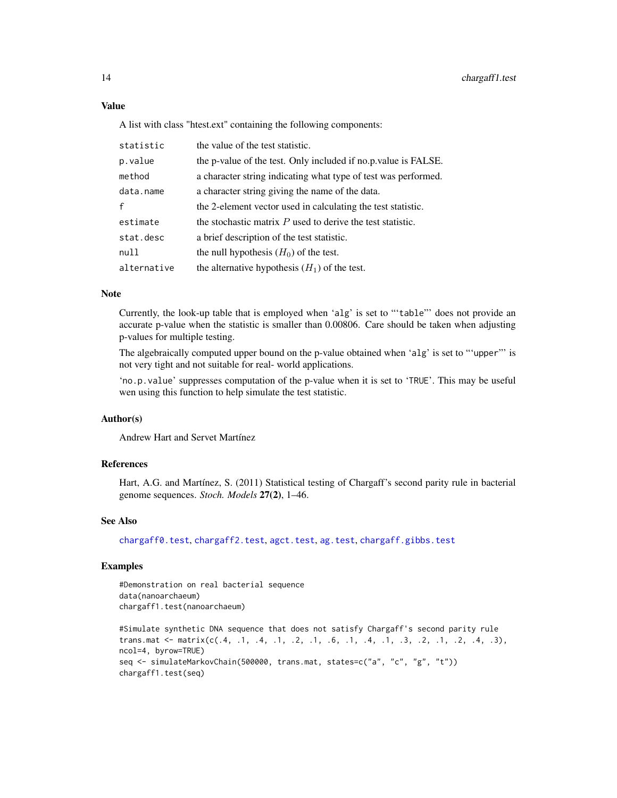A list with class "htest.ext" containing the following components:

| statistic    | the value of the test statistic.                                |
|--------------|-----------------------------------------------------------------|
| p.value      | the p-value of the test. Only included if no.p. value is FALSE. |
| method       | a character string indicating what type of test was performed.  |
| data.name    | a character string giving the name of the data.                 |
| $\mathbf{f}$ | the 2-element vector used in calculating the test statistic.    |
| estimate     | the stochastic matrix $P$ used to derive the test statistic.    |
| stat.desc    | a brief description of the test statistic.                      |
| null         | the null hypothesis $(H_0)$ of the test.                        |
| alternative  | the alternative hypothesis $(H_1)$ of the test.                 |

# Note

Currently, the look-up table that is employed when 'alg' is set to "'table"' does not provide an accurate p-value when the statistic is smaller than 0.00806. Care should be taken when adjusting p-values for multiple testing.

The algebraically computed upper bound on the p-value obtained when 'alg' is set to "'upper"' is not very tight and not suitable for real- world applications.

'no.p.value' suppresses computation of the p-value when it is set to 'TRUE'. This may be useful wen using this function to help simulate the test statistic.

#### Author(s)

Andrew Hart and Servet Martínez

#### **References**

Hart, A.G. and Martínez, S. (2011) Statistical testing of Chargaff's second parity rule in bacterial genome sequences. *Stoch. Models* 27(2), 1–46.

# See Also

[chargaff0.test](#page-10-1), [chargaff2.test](#page-14-1), [agct.test](#page-5-1), [ag.test](#page-3-1), [chargaff.gibbs.test](#page-8-1)

#### Examples

#Demonstration on real bacterial sequence data(nanoarchaeum) chargaff1.test(nanoarchaeum)

```
#Simulate synthetic DNA sequence that does not satisfy Chargaff's second parity rule
trans.mat <- matrix(c(.4, .1, .4, .1, .2, .1, .6, .1, .4, .1, .3, .2, .1, .2, .4, .3),
ncol=4, byrow=TRUE)
seq <- simulateMarkovChain(500000, trans.mat, states=c("a", "c", "g", "t"))
chargaff1.test(seq)
```
<span id="page-13-0"></span>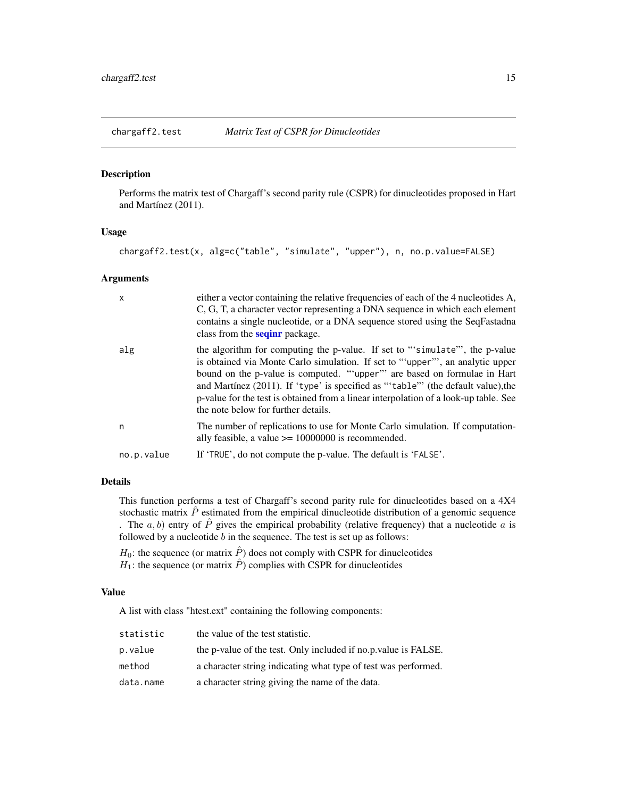<span id="page-14-1"></span><span id="page-14-0"></span>

Performs the matrix test of Chargaff's second parity rule (CSPR) for dinucleotides proposed in Hart and Martínez (2011).

# Usage

```
chargaff2.test(x, alg=c("table", "simulate", "upper"), n, no.p.value=FALSE)
```
#### Arguments

| $\mathsf{x}$ | either a vector containing the relative frequencies of each of the 4 nucleotides A,<br>C, G, T, a character vector representing a DNA sequence in which each element<br>contains a single nucleotide, or a DNA sequence stored using the SeqFastadna<br>class from the <b>seqinr</b> package.                                                                                                                                                                 |
|--------------|---------------------------------------------------------------------------------------------------------------------------------------------------------------------------------------------------------------------------------------------------------------------------------------------------------------------------------------------------------------------------------------------------------------------------------------------------------------|
| alg          | the algorithm for computing the p-value. If set to "simulate", the p-value<br>is obtained via Monte Carlo simulation. If set to "upper", an analytic upper<br>bound on the p-value is computed. ""upper" are based on formulae in Hart<br>and Martínez $(2011)$ . If 'type' is specified as "'table"' (the default value), the<br>p-value for the test is obtained from a linear interpolation of a look-up table. See<br>the note below for further details. |
| n            | The number of replications to use for Monte Carlo simulation. If computation-<br>ally feasible, a value $>= 10000000$ is recommended.                                                                                                                                                                                                                                                                                                                         |
| no.p.value   | If 'TRUE', do not compute the p-value. The default is 'FALSE'.                                                                                                                                                                                                                                                                                                                                                                                                |

# Details

This function performs a test of Chargaff's second parity rule for dinucleotides based on a 4X4 stochastic matrix  $\hat{P}$  estimated from the empirical dinucleotide distribution of a genomic sequence . The  $a, b$ ) entry of  $\hat{P}$  gives the empirical probability (relative frequency) that a nucleotide a is followed by a nucleotide  $b$  in the sequence. The test is set up as follows:

 $H_0$ : the sequence (or matrix  $\hat{P}$ ) does not comply with CSPR for dinucleotides  $H_1$ : the sequence (or matrix  $\hat{P}$ ) complies with CSPR for dinucleotides

# Value

A list with class "htest.ext" containing the following components:

| statistic | the value of the test statistic.                                |  |
|-----------|-----------------------------------------------------------------|--|
| p.value   | the p-value of the test. Only included if no.p. value is FALSE. |  |
| method    | a character string indicating what type of test was performed.  |  |
| data.name | a character string giving the name of the data.                 |  |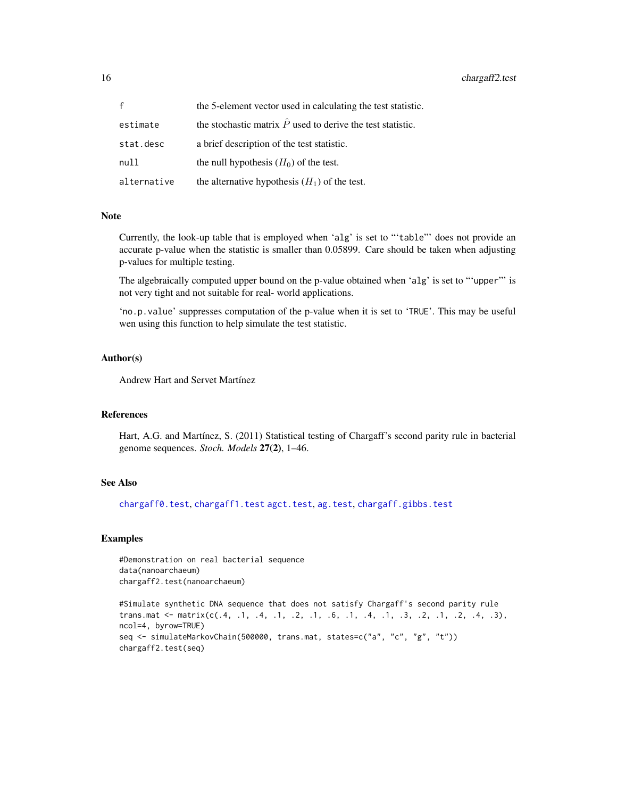<span id="page-15-0"></span>16 chargaff2.test

| $\mathbf{f}$ | the 5-element vector used in calculating the test statistic.       |  |
|--------------|--------------------------------------------------------------------|--|
| estimate     | the stochastic matrix $\hat{P}$ used to derive the test statistic. |  |
| stat.desc    | a brief description of the test statistic.                         |  |
| null         | the null hypothesis $(H_0)$ of the test.                           |  |
| alternative  | the alternative hypothesis $(H_1)$ of the test.                    |  |

# Note

Currently, the look-up table that is employed when 'alg' is set to "'table"' does not provide an accurate p-value when the statistic is smaller than 0.05899. Care should be taken when adjusting p-values for multiple testing.

The algebraically computed upper bound on the p-value obtained when 'alg' is set to "'upper"' is not very tight and not suitable for real- world applications.

'no.p.value' suppresses computation of the p-value when it is set to 'TRUE'. This may be useful wen using this function to help simulate the test statistic.

# Author(s)

Andrew Hart and Servet Martínez

#### References

Hart, A.G. and Martínez, S. (2011) Statistical testing of Chargaff's second parity rule in bacterial genome sequences. *Stoch. Models* 27(2), 1–46.

### See Also

[chargaff0.test](#page-10-1), [chargaff1.test](#page-12-1) [agct.test](#page-5-1), [ag.test](#page-3-1), [chargaff.gibbs.test](#page-8-1)

# **Examples**

#Demonstration on real bacterial sequence data(nanoarchaeum) chargaff2.test(nanoarchaeum)

#Simulate synthetic DNA sequence that does not satisfy Chargaff's second parity rule trans.mat  $\leq$  matrix(c(.4, .1, .4, .1, .2, .1, .6, .1, .4, .1, .3, .2, .1, .2, .4, .3), ncol=4, byrow=TRUE) seq <- simulateMarkovChain(500000, trans.mat, states=c("a", "c", "g", "t")) chargaff2.test(seq)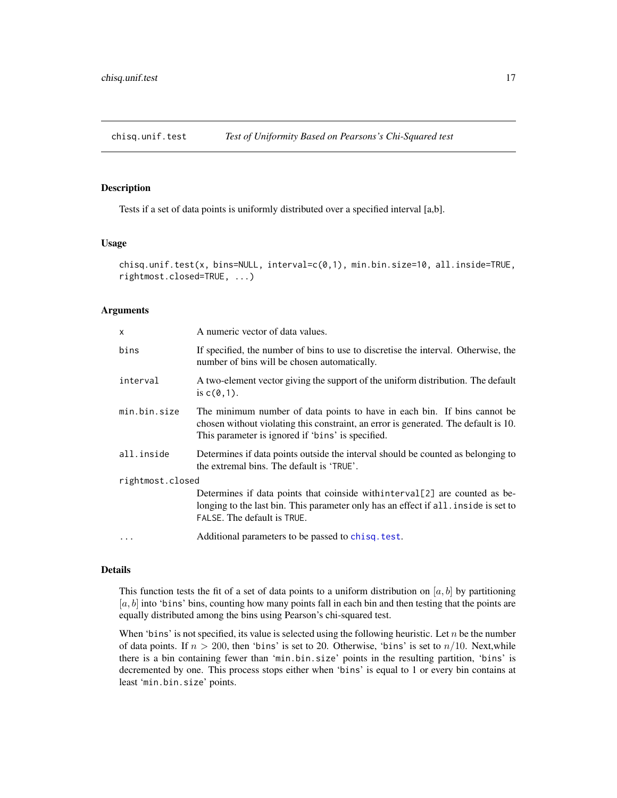<span id="page-16-1"></span><span id="page-16-0"></span>

Tests if a set of data points is uniformly distributed over a specified interval [a,b].

# Usage

```
chisq.unif.test(x, bins=NULL, interval=c(0,1), min.bin.size=10, all.inside=TRUE,
rightmost.closed=TRUE, ...)
```
#### Arguments

| $\mathsf{x}$     | A numeric vector of data values.                                                                                                                                                                                     |  |  |
|------------------|----------------------------------------------------------------------------------------------------------------------------------------------------------------------------------------------------------------------|--|--|
| bins             | If specified, the number of bins to use to discretise the interval. Otherwise, the<br>number of bins will be chosen automatically.                                                                                   |  |  |
| interval         | A two-element vector giving the support of the uniform distribution. The default<br>is $c(\theta, 1)$ .                                                                                                              |  |  |
| min.bin.size     | The minimum number of data points to have in each bin. If bins cannot be<br>chosen without violating this constraint, an error is generated. The default is 10.<br>This parameter is ignored if 'bins' is specified. |  |  |
| all.inside       | Determines if data points outside the interval should be counted as belonging to<br>the extremal bins. The default is 'TRUE'.                                                                                        |  |  |
| rightmost.closed |                                                                                                                                                                                                                      |  |  |
|                  | Determines if data points that coinside with interval [2] are counted as be-<br>longing to the last bin. This parameter only has an effect if all. inside is set to<br>FALSE. The default is TRUE.                   |  |  |
| $\ddots$ .       | Additional parameters to be passed to chisq. test.                                                                                                                                                                   |  |  |

# Details

This function tests the fit of a set of data points to a uniform distribution on [a, b] by partitioning  $[a, b]$  into 'bins' bins, counting how many points fall in each bin and then testing that the points are equally distributed among the bins using Pearson's chi-squared test.

When 'bins' is not specified, its value is selected using the following heuristic. Let  $n$  be the number of data points. If  $n > 200$ , then 'bins' is set to 20. Otherwise, 'bins' is set to  $n/10$ . Next, while there is a bin containing fewer than 'min.bin.size' points in the resulting partition, 'bins' is decremented by one. This process stops either when 'bins' is equal to 1 or every bin contains at least 'min.bin.size' points.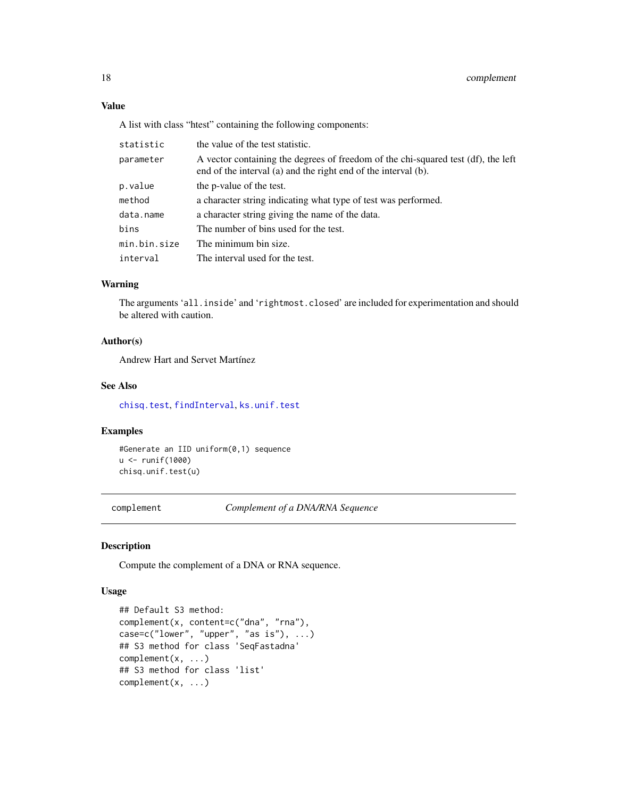# Value

A list with class "htest" containing the following components:

| statistic    | the value of the test statistic.                                                                                                                    |  |  |
|--------------|-----------------------------------------------------------------------------------------------------------------------------------------------------|--|--|
| parameter    | A vector containing the degrees of freedom of the chi-squared test (df), the left<br>end of the interval (a) and the right end of the interval (b). |  |  |
| p.value      | the p-value of the test.                                                                                                                            |  |  |
| method       | a character string indicating what type of test was performed.                                                                                      |  |  |
| data.name    | a character string giving the name of the data.                                                                                                     |  |  |
| bins         | The number of bins used for the test.                                                                                                               |  |  |
| min.bin.size | The minimum bin size.                                                                                                                               |  |  |
| interval     | The interval used for the test.                                                                                                                     |  |  |

# Warning

The arguments 'all.inside' and 'rightmost.closed' are included for experimentation and should be altered with caution.

# Author(s)

Andrew Hart and Servet Martínez

#### See Also

[chisq.test](#page-0-0), [findInterval](#page-0-0), [ks.unif.test](#page-28-1)

# Examples

#Generate an IID uniform(0,1) sequence u <- runif(1000) chisq.unif.test(u)

<span id="page-17-1"></span>complement *Complement of a DNA/RNA Sequence*

#### Description

Compute the complement of a DNA or RNA sequence.

#### Usage

```
## Default S3 method:
complement(x, content=c("dna", "rna"),
case=c("lower", "upper", "as is"), ...)
## S3 method for class 'SeqFastadna'
complement(x, ...)
## S3 method for class 'list'
complement(x, ...)
```
<span id="page-17-0"></span>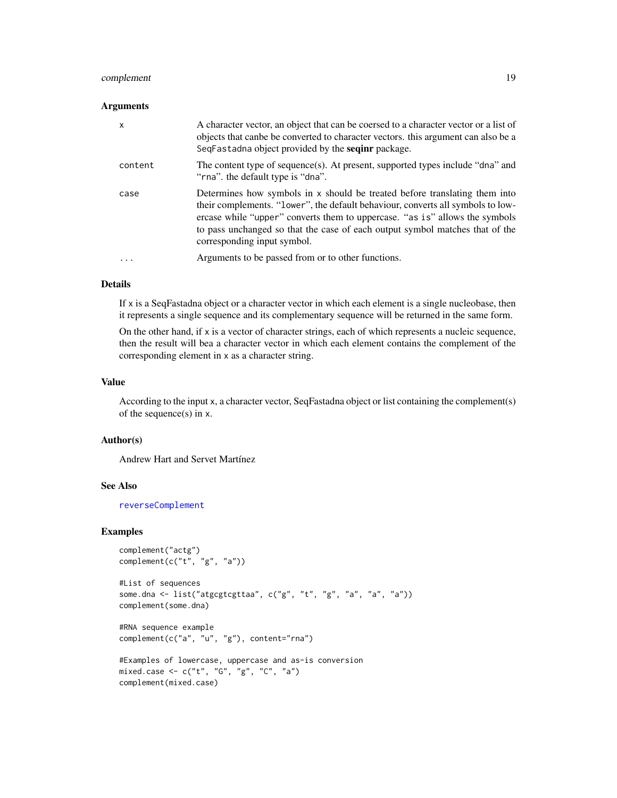# <span id="page-18-0"></span>complement 19

#### **Arguments**

| $\mathsf{x}$ | A character vector, an object that can be coersed to a character vector or a list of<br>objects that canbe be converted to character vectors. this argument can also be a<br>SeqFastadna object provided by the <b>seqinr</b> package.                                                                                                                      |  |
|--------------|-------------------------------------------------------------------------------------------------------------------------------------------------------------------------------------------------------------------------------------------------------------------------------------------------------------------------------------------------------------|--|
| content      | The content type of sequence(s). At present, supported types include "dna" and<br>"rna" the default type is "dna".                                                                                                                                                                                                                                          |  |
| case         | Determines how symbols in x should be treated before translating them into<br>their complements. "lower", the default behaviour, converts all symbols to low-<br>ercase while "upper" converts them to uppercase. "as is" allows the symbols<br>to pass unchanged so that the case of each output symbol matches that of the<br>corresponding input symbol. |  |
| $\ddotsc$    | Arguments to be passed from or to other functions.                                                                                                                                                                                                                                                                                                          |  |

# Details

If x is a SeqFastadna object or a character vector in which each element is a single nucleobase, then it represents a single sequence and its complementary sequence will be returned in the same form.

On the other hand, if  $x$  is a vector of character strings, each of which represents a nucleic sequence, then the result will bea a character vector in which each element contains the complement of the corresponding element in x as a character string.

# Value

According to the input x, a character vector, SeqFastadna object or list containing the complement(s) of the sequence(s) in x.

#### Author(s)

Andrew Hart and Servet Martínez

#### See Also

[reverseComplement](#page-42-1)

### Examples

```
complement("actg")
complement(c("t", "g", "a"))
```

```
#List of sequences
some.dna <- list("atgcgtcgttaa", c("g", "t", "g", "a", "a", "a"))
complement(some.dna)
```

```
#RNA sequence example
complement(c("a", "u", "g"), content="rna")
```

```
#Examples of lowercase, uppercase and as-is conversion
mixed.case <- c("t", "G", "g", "C", "a")
complement(mixed.case)
```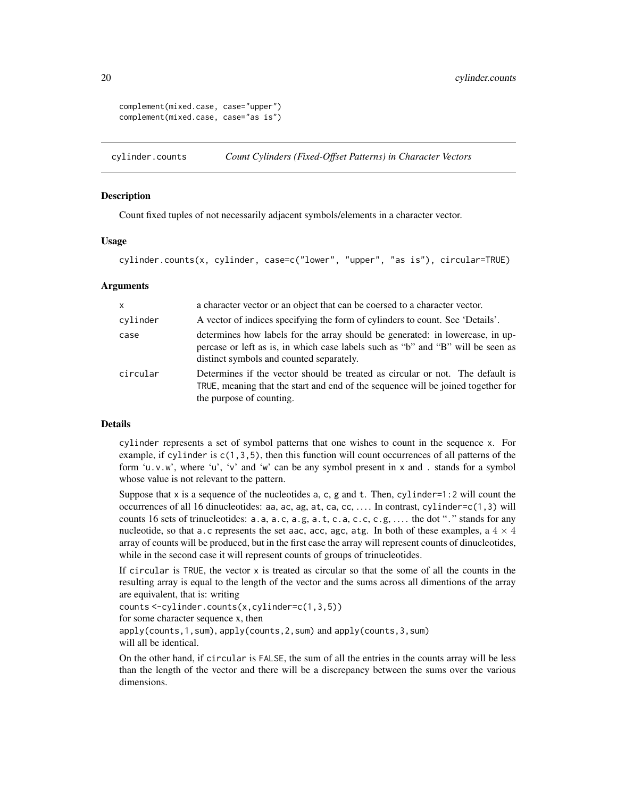```
complement(mixed.case, case="upper")
complement(mixed.case, case="as is")
```
<span id="page-19-1"></span>cylinder.counts *Count Cylinders (Fixed-Offset Patterns) in Character Vectors*

#### **Description**

Count fixed tuples of not necessarily adjacent symbols/elements in a character vector.

#### Usage

```
cylinder.counts(x, cylinder, case=c("lower", "upper", "as is"), circular=TRUE)
```
#### Arguments

| $\mathsf{x}$ | a character vector or an object that can be coersed to a character vector.                                                                                                                                   |  |
|--------------|--------------------------------------------------------------------------------------------------------------------------------------------------------------------------------------------------------------|--|
| cylinder     | A vector of indices specifying the form of cylinders to count. See 'Details'.                                                                                                                                |  |
| case         | determines how labels for the array should be generated: in lowercase, in up-<br>percase or left as is, in which case labels such as "b" and "B" will be seen as<br>distinct symbols and counted separately. |  |
| circular     | Determines if the vector should be treated as circular or not. The default is<br>TRUE, meaning that the start and end of the sequence will be joined together for<br>the purpose of counting.                |  |

#### Details

cylinder represents a set of symbol patterns that one wishes to count in the sequence x. For example, if cylinder is  $c(1,3,5)$ , then this function will count occurrences of all patterns of the form 'u.v.w', where 'u', 'v' and 'w' can be any symbol present in x and . stands for a symbol whose value is not relevant to the pattern.

Suppose that x is a sequence of the nucleotides a, c, g and t. Then, cylinder=1:2 will count the occurrences of all 16 dinucleotides: aa, ac, ag, at, ca, cc, . . . . In contrast, cylinder=c(1,3) will counts 16 sets of trinucleotides:  $a.a$ ,  $a.a$ ,  $c.a$ ,  $a.f$ ,  $c.a$ ,  $c.a$ ,  $c.f$ ,  $c.g$ ,  $\dots$ . the dot "." stands for any nucleotide, so that a.c represents the set aac, acc, agc, atg. In both of these examples, a  $4 \times 4$ array of counts will be produced, but in the first case the array will represent counts of dinucleotides, while in the second case it will represent counts of groups of trinucleotides.

If circular is TRUE, the vector x is treated as circular so that the some of all the counts in the resulting array is equal to the length of the vector and the sums across all dimentions of the array are equivalent, that is: writing

```
counts <-cylinder.counts(x,cylinder=c(1,3,5))
for some character sequence x, then
apply(counts,1,sum), apply(counts,2,sum) and apply(counts,3,sum)
will all be identical.
```
On the other hand, if circular is FALSE, the sum of all the entries in the counts array will be less than the length of the vector and there will be a discrepancy between the sums over the various dimensions.

<span id="page-19-0"></span>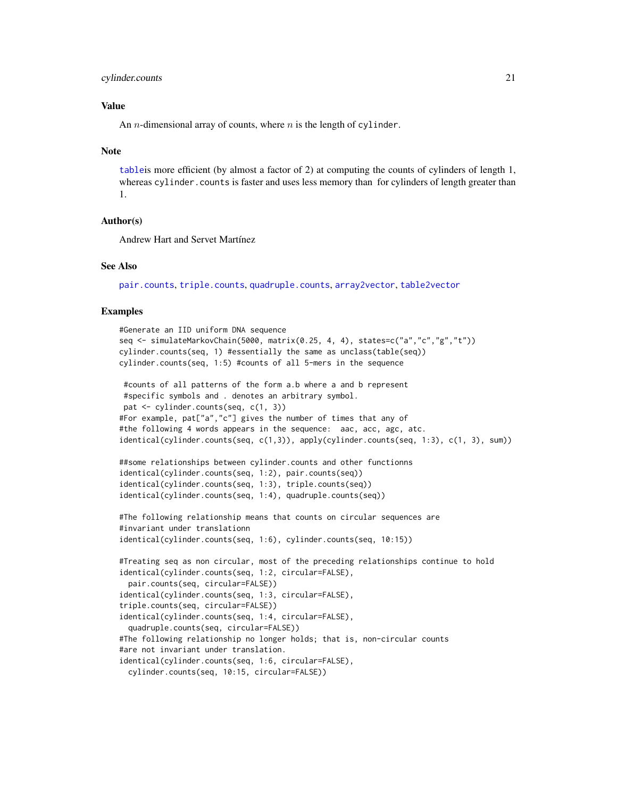#### <span id="page-20-0"></span>cylinder.counts 21

# Value

An *n*-dimensional array of counts, where *n* is the length of cylinder.

#### Note

[table](#page-0-0)is more efficient (by almost a factor of 2) at computing the counts of cylinders of length 1, whereas cylinder.counts is faster and uses less memory than for cylinders of length greater than 1.

# Author(s)

Andrew Hart and Servet Martínez

#### See Also

[pair.counts](#page-36-1), [triple.counts](#page-46-1), [quadruple.counts](#page-38-1), [array2vector](#page-7-1), [table2vector](#page-7-2)

#### Examples

```
#Generate an IID uniform DNA sequence
seq <- simulateMarkovChain(5000, matrix(0.25, 4, 4), states=c("a","c","g","t"))
cylinder.counts(seq, 1) #essentially the same as unclass(table(seq))
cylinder.counts(seq, 1:5) #counts of all 5-mers in the sequence
#counts of all patterns of the form a.b where a and b represent
#specific symbols and . denotes an arbitrary symbol.
pat <- cylinder.counts(seq, c(1, 3))
#For example, pat["a","c"] gives the number of times that any of
#the following 4 words appears in the sequence: aac, acc, agc, atc.
identical(cylinder.counts(seq, c(1,3)), apply(cylinder.counts(seq, 1:3), c(1, 3), sum))
##some relationships between cylinder.counts and other functionns
identical(cylinder.counts(seq, 1:2), pair.counts(seq))
identical(cylinder.counts(seq, 1:3), triple.counts(seq))
identical(cylinder.counts(seq, 1:4), quadruple.counts(seq))
#The following relationship means that counts on circular sequences are
#invariant under translationn
identical(cylinder.counts(seq, 1:6), cylinder.counts(seq, 10:15))
#Treating seq as non circular, most of the preceding relationships continue to hold
identical(cylinder.counts(seq, 1:2, circular=FALSE),
 pair.counts(seq, circular=FALSE))
identical(cylinder.counts(seq, 1:3, circular=FALSE),
triple.counts(seq, circular=FALSE))
identical(cylinder.counts(seq, 1:4, circular=FALSE),
 quadruple.counts(seq, circular=FALSE))
#The following relationship no longer holds; that is, non-circular counts
#are not invariant under translation.
identical(cylinder.counts(seq, 1:6, circular=FALSE),
 cylinder.counts(seq, 10:15, circular=FALSE))
```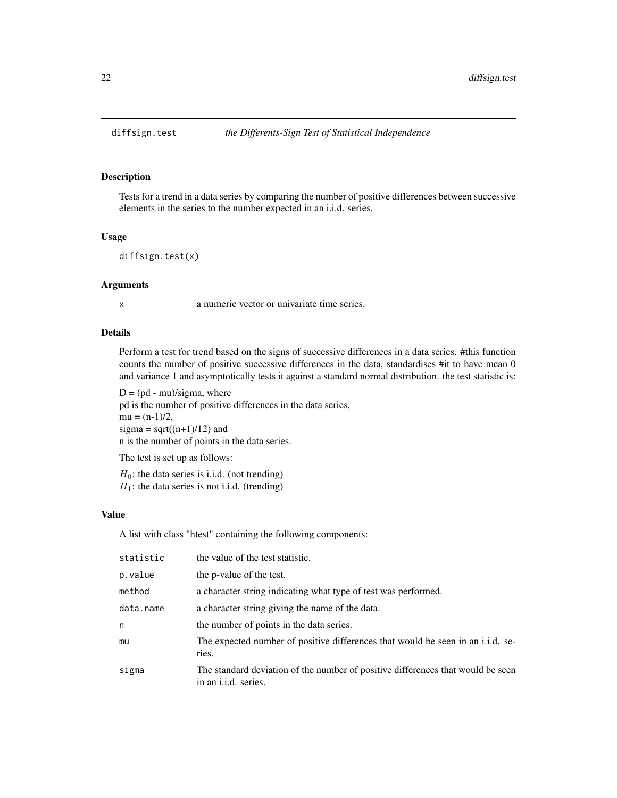<span id="page-21-1"></span><span id="page-21-0"></span>

Tests for a trend in a data series by comparing the number of positive differences between successive elements in the series to the number expected in an i.i.d. series.

#### Usage

```
diffsign.test(x)
```
#### Arguments

x a numeric vector or univariate time series.

### Details

Perform a test for trend based on the signs of successive differences in a data series. #this function counts the number of positive successive differences in the data, standardises #it to have mean 0 and variance 1 and asymptotically tests it against a standard normal distribution. the test statistic is:

 $D = (pd - mu)/sigma$ , where pd is the number of positive differences in the data series,  $mu = (n-1)/2$ , sigma =  $sqrt((n+1)/12)$  and n is the number of points in the data series.

The test is set up as follows:

 $H_0$ : the data series is i.i.d. (not trending)  $H_1$ : the data series is not i.i.d. (trending)

# Value

A list with class "htest" containing the following components:

| the value of the test statistic.                                                                               |  |
|----------------------------------------------------------------------------------------------------------------|--|
| the p-value of the test.                                                                                       |  |
| a character string indicating what type of test was performed.                                                 |  |
| a character string giving the name of the data.                                                                |  |
| the number of points in the data series.                                                                       |  |
| The expected number of positive differences that would be seen in an i.i.d. se-<br>ries.                       |  |
| The standard deviation of the number of positive differences that would be seen<br>in an <i>i.i.d.</i> series. |  |
|                                                                                                                |  |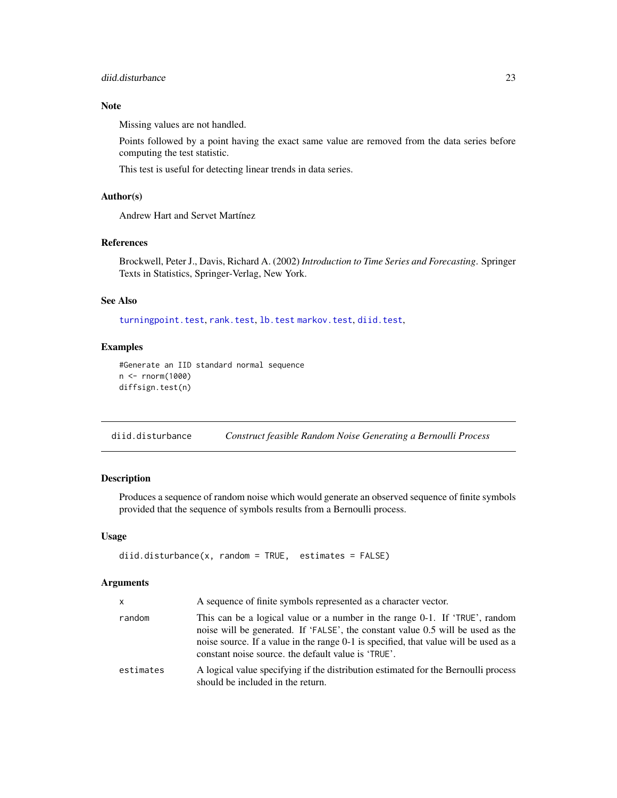# <span id="page-22-0"></span>diid.disturbance 23

# Note

Missing values are not handled.

Points followed by a point having the exact same value are removed from the data series before computing the test statistic.

This test is useful for detecting linear trends in data series.

# Author(s)

Andrew Hart and Servet Martínez

#### References

Brockwell, Peter J., Davis, Richard A. (2002) *Introduction to Time Series and Forecasting*. Springer Texts in Statistics, Springer-Verlag, New York.

#### See Also

[turningpoint.test](#page-47-1), [rank.test](#page-39-1), [lb.test](#page-29-1) [markov.test](#page-31-1), [diid.test](#page-23-1),

# Examples

```
#Generate an IID standard normal sequence
n <- rnorm(1000)
diffsign.test(n)
```
<span id="page-22-1"></span>diid.disturbance *Construct feasible Random Noise Generating a Bernoulli Process*

# Description

Produces a sequence of random noise which would generate an observed sequence of finite symbols provided that the sequence of symbols results from a Bernoulli process.

#### Usage

```
diid.disturbance(x, random = TRUE, estimates = FALSE)
```
### Arguments

| X         | A sequence of finite symbols represented as a character vector.                                                                                                                                                                                                                                               |  |
|-----------|---------------------------------------------------------------------------------------------------------------------------------------------------------------------------------------------------------------------------------------------------------------------------------------------------------------|--|
| random    | This can be a logical value or a number in the range 0-1. If 'TRUE', random<br>noise will be generated. If 'FALSE', the constant value 0.5 will be used as the<br>noise source. If a value in the range 0-1 is specified, that value will be used as a<br>constant noise source, the default value is 'TRUE'. |  |
| estimates | A logical value specifying if the distribution estimated for the Bernoulli process<br>should be included in the return.                                                                                                                                                                                       |  |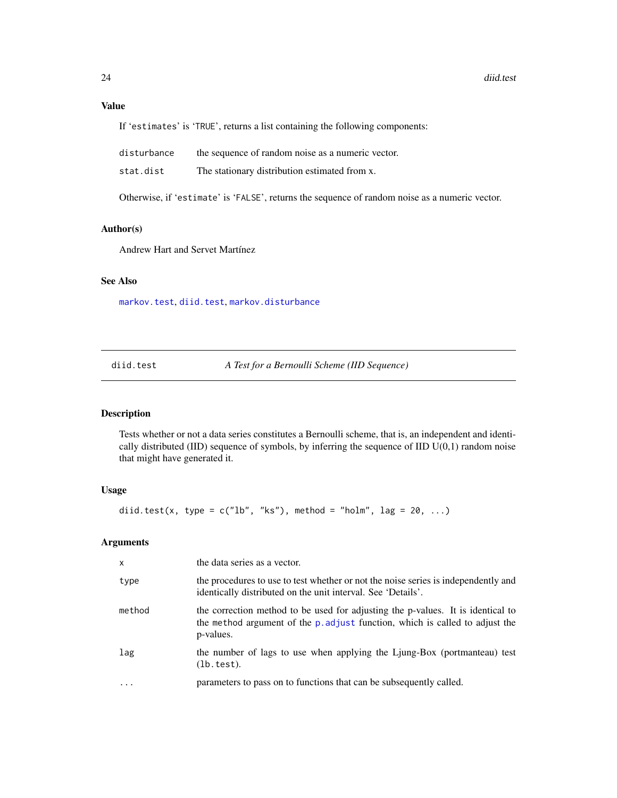# <span id="page-23-0"></span>Value

If 'estimates' is 'TRUE', returns a list containing the following components:

| disturbance | the sequence of random noise as a numeric vector. |
|-------------|---------------------------------------------------|
| stat.dist   | The stationary distribution estimated from x.     |

Otherwise, if 'estimate' is 'FALSE', returns the sequence of random noise as a numeric vector.

# Author(s)

Andrew Hart and Servet Martínez

# See Also

[markov.test](#page-31-1), [diid.test](#page-23-1), [markov.disturbance](#page-30-1)

<span id="page-23-1"></span>diid.test *A Test for a Bernoulli Scheme (IID Sequence)*

# Description

Tests whether or not a data series constitutes a Bernoulli scheme, that is, an independent and identically distributed (IID) sequence of symbols, by inferring the sequence of IID U(0,1) random noise that might have generated it.

# Usage

diid.test(x, type =  $c("lb", "ks")$ , method = "holm", lag = 20, ...)

# Arguments

| x       | the data series as a vector.                                                                                                                                                 |  |
|---------|------------------------------------------------------------------------------------------------------------------------------------------------------------------------------|--|
| type    | the procedures to use to test whether or not the noise series is independently and<br>identically distributed on the unit interval. See 'Details'.                           |  |
| method  | the correction method to be used for adjusting the p-values. It is identical to<br>the method argument of the p. adjust function, which is called to adjust the<br>p-values. |  |
| lag     | the number of lags to use when applying the Ljung-Box (portmanteau) test<br>(lb.test).                                                                                       |  |
| $\cdot$ | parameters to pass on to functions that can be subsequently called.                                                                                                          |  |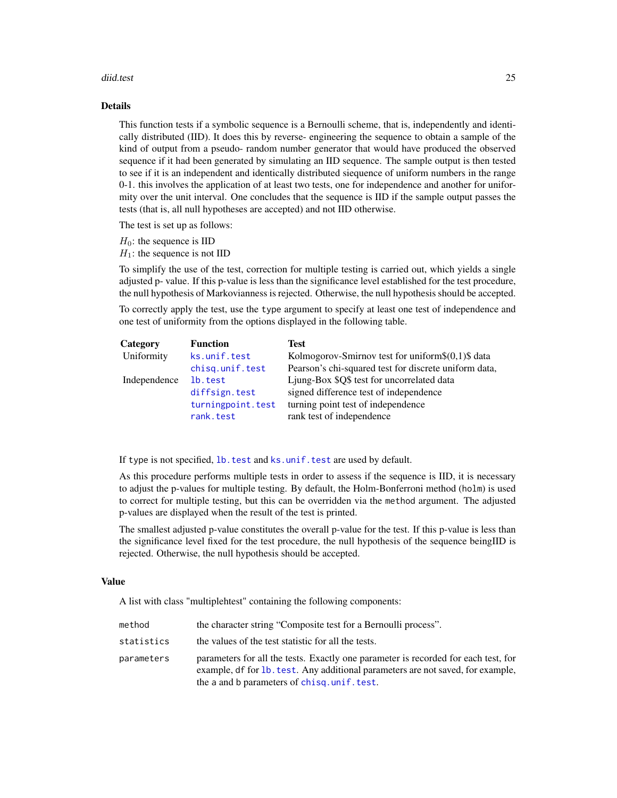#### <span id="page-24-0"></span>diid.test 25

# Details

This function tests if a symbolic sequence is a Bernoulli scheme, that is, independently and identically distributed (IID). It does this by reverse- engineering the sequence to obtain a sample of the kind of output from a pseudo- random number generator that would have produced the observed sequence if it had been generated by simulating an IID sequence. The sample output is then tested to see if it is an independent and identically distributed siequence of uniform numbers in the range 0-1. this involves the application of at least two tests, one for independence and another for uniformity over the unit interval. One concludes that the sequence is IID if the sample output passes the tests (that is, all null hypotheses are accepted) and not IID otherwise.

The test is set up as follows:

 $H_0$ : the sequence is IID

 $H_1$ : the sequence is not IID

To simplify the use of the test, correction for multiple testing is carried out, which yields a single adjusted p- value. If this p-value is less than the significance level established for the test procedure, the null hypothesis of Markovianness is rejected. Otherwise, the null hypothesis should be accepted.

To correctly apply the test, use the type argument to specify at least one test of independence and one test of uniformity from the options displayed in the following table.

| Category     | <b>Function</b>   | <b>Test</b>                                           |
|--------------|-------------------|-------------------------------------------------------|
| Uniformity   | ks.unif.test      | Kolmogorov-Smirnov test for uniform\$ $(0,1)$ \$ data |
|              | chisq.unif.test   | Pearson's chi-squared test for discrete uniform data, |
| Independence | lb.test           | Ljung-Box \$Q\$ test for uncorrelated data            |
|              | diffsign.test     | signed difference test of independence                |
|              | turningpoint.test | turning point test of independence                    |
|              | rank.test         | rank test of independence                             |

If type is not specified, lb. test and ks.unif. test are used by default.

As this procedure performs multiple tests in order to assess if the sequence is IID, it is necessary to adjust the p-values for multiple testing. By default, the Holm-Bonferroni method (holm) is used to correct for multiple testing, but this can be overridden via the method argument. The adjusted p-values are displayed when the result of the test is printed.

The smallest adjusted p-value constitutes the overall p-value for the test. If this p-value is less than the significance level fixed for the test procedure, the null hypothesis of the sequence beingIID is rejected. Otherwise, the null hypothesis should be accepted.

# Value

A list with class "multiplehtest" containing the following components:

| method     | the character string "Composite test for a Bernoulli process".                                                                                                                                                      |
|------------|---------------------------------------------------------------------------------------------------------------------------------------------------------------------------------------------------------------------|
| statistics | the values of the test statistic for all the tests.                                                                                                                                                                 |
| parameters | parameters for all the tests. Exactly one parameter is recorded for each test, for<br>example, df for 1b, test. Any additional parameters are not saved, for example,<br>the a and b parameters of chisq.unif.test. |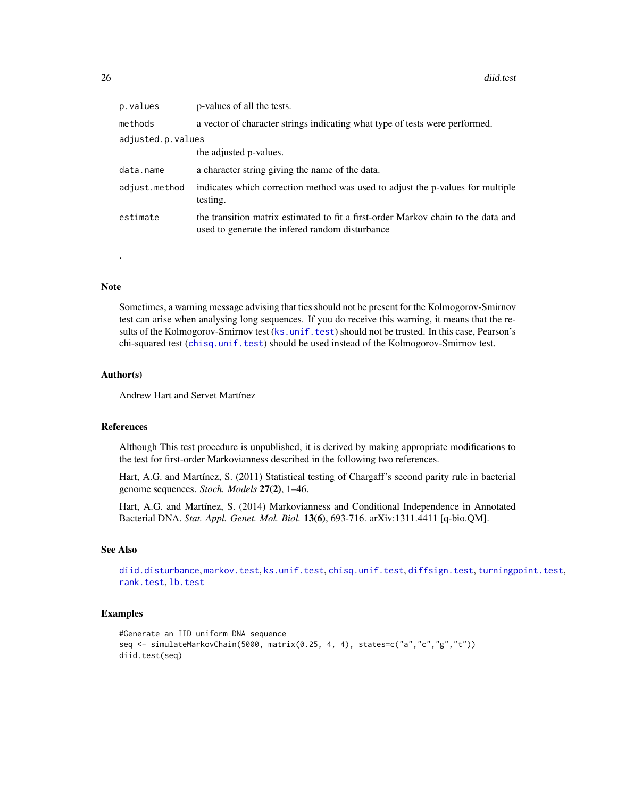<span id="page-25-0"></span>

| p.values          | p-values of all the tests.                                                                                                           |  |
|-------------------|--------------------------------------------------------------------------------------------------------------------------------------|--|
| methods           | a vector of character strings indicating what type of tests were performed.                                                          |  |
| adjusted.p.values |                                                                                                                                      |  |
|                   | the adjusted p-values.                                                                                                               |  |
| data.name         | a character string giving the name of the data.                                                                                      |  |
| adjust.method     | indicates which correction method was used to adjust the p-values for multiple<br>testing.                                           |  |
| estimate          | the transition matrix estimated to fit a first-order Markov chain to the data and<br>used to generate the infered random disturbance |  |

#### Note

.

Sometimes, a warning message advising that ties should not be present for the Kolmogorov-Smirnov test can arise when analysing long sequences. If you do receive this warning, it means that the results of the Kolmogorov-Smirnov test ([ks.unif.test](#page-28-1)) should not be trusted. In this case, Pearson's chi-squared test ([chisq.unif.test](#page-16-1)) should be used instead of the Kolmogorov-Smirnov test.

#### Author(s)

Andrew Hart and Servet Martínez

# References

Although This test procedure is unpublished, it is derived by making appropriate modifications to the test for first-order Markovianness described in the following two references.

Hart, A.G. and Martínez, S. (2011) Statistical testing of Chargaff's second parity rule in bacterial genome sequences. *Stoch. Models* 27(2), 1–46.

Hart, A.G. and Martínez, S. (2014) Markovianness and Conditional Independence in Annotated Bacterial DNA. *Stat. Appl. Genet. Mol. Biol.* 13(6), 693-716. arXiv:1311.4411 [q-bio.QM].

#### See Also

[diid.disturbance](#page-22-1), [markov.test](#page-31-1), [ks.unif.test](#page-28-1), [chisq.unif.test](#page-16-1), [diffsign.test](#page-21-1), [turningpoint.test](#page-47-1), [rank.test](#page-39-1), [lb.test](#page-29-1)

#### Examples

```
#Generate an IID uniform DNA sequence
seq <- simulateMarkovChain(5000, matrix(0.25, 4, 4), states=c("a","c","g","t"))
diid.test(seq)
```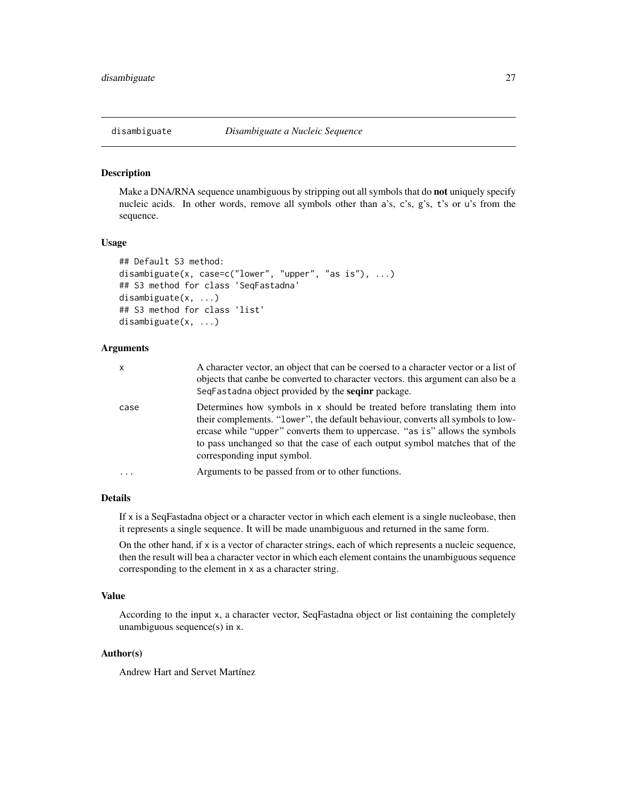<span id="page-26-1"></span><span id="page-26-0"></span>Make a DNA/RNA sequence unambiguous by stripping out all symbols that do **not** uniquely specify nucleic acids. In other words, remove all symbols other than a's, c's, g's, t's or u's from the sequence.

#### Usage

```
## Default S3 method:
disambiguate(x, case=c("lower", "upper", "as is"), ...)
## S3 method for class 'SeqFastadna'
disambiguate(x, ...)
## S3 method for class 'list'
disambiguate(x, ...)
```
# Arguments

| x        | A character vector, an object that can be coersed to a character vector or a list of<br>objects that can be be converted to character vectors, this argument can also be a<br>SeqFastadna object provided by the <b>seqinr</b> package.                                                                                                                     |
|----------|-------------------------------------------------------------------------------------------------------------------------------------------------------------------------------------------------------------------------------------------------------------------------------------------------------------------------------------------------------------|
| case     | Determines how symbols in x should be treated before translating them into<br>their complements. "lower", the default behaviour, converts all symbols to low-<br>ercase while "upper" converts them to uppercase. "as is" allows the symbols<br>to pass unchanged so that the case of each output symbol matches that of the<br>corresponding input symbol. |
| $\cdots$ | Arguments to be passed from or to other functions.                                                                                                                                                                                                                                                                                                          |

# Details

If  $x$  is a SeqFastadna object or a character vector in which each element is a single nucleobase, then it represents a single sequence. It will be made unambiguous and returned in the same form.

On the other hand, if x is a vector of character strings, each of which represents a nucleic sequence, then the result will bea a character vector in which each element contains the unambiguous sequence corresponding to the element in x as a character string.

# Value

According to the input x, a character vector, SeqFastadna object or list containing the completely unambiguous sequence(s) in x.

#### Author(s)

Andrew Hart and Servet Martínez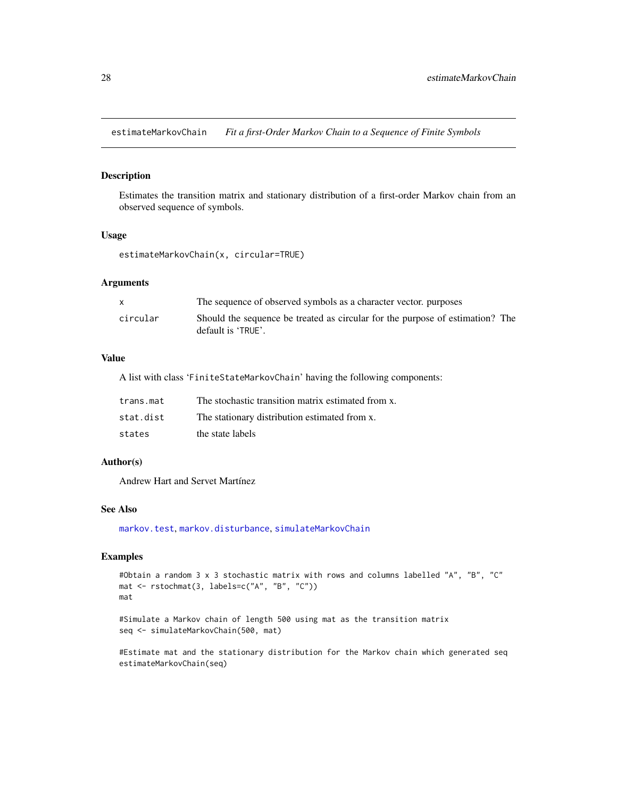<span id="page-27-1"></span><span id="page-27-0"></span>estimateMarkovChain *Fit a first-Order Markov Chain to a Sequence of Finite Symbols*

### Description

Estimates the transition matrix and stationary distribution of a first-order Markov chain from an observed sequence of symbols.

#### Usage

```
estimateMarkovChain(x, circular=TRUE)
```
# Arguments

|          | The sequence of observed symbols as a character vector, purposes                                    |
|----------|-----------------------------------------------------------------------------------------------------|
| circular | Should the sequence be treated as circular for the purpose of estimation? The<br>default is 'TRUE'. |

#### Value

A list with class 'FiniteStateMarkovChain' having the following components:

| trans.mat | The stochastic transition matrix estimated from x. |
|-----------|----------------------------------------------------|
| stat.dist | The stationary distribution estimated from x.      |
| states    | the state labels                                   |

#### Author(s)

Andrew Hart and Servet Martínez

# See Also

[markov.test](#page-31-1), [markov.disturbance](#page-30-1), [simulateMarkovChain](#page-45-1)

# Examples

```
#Obtain a random 3 x 3 stochastic matrix with rows and columns labelled "A", "B", "C"
mat <- rstochmat(3, labels=c("A", "B", "C"))
mat
```
#Simulate a Markov chain of length 500 using mat as the transition matrix seq <- simulateMarkovChain(500, mat)

#Estimate mat and the stationary distribution for the Markov chain which generated seq estimateMarkovChain(seq)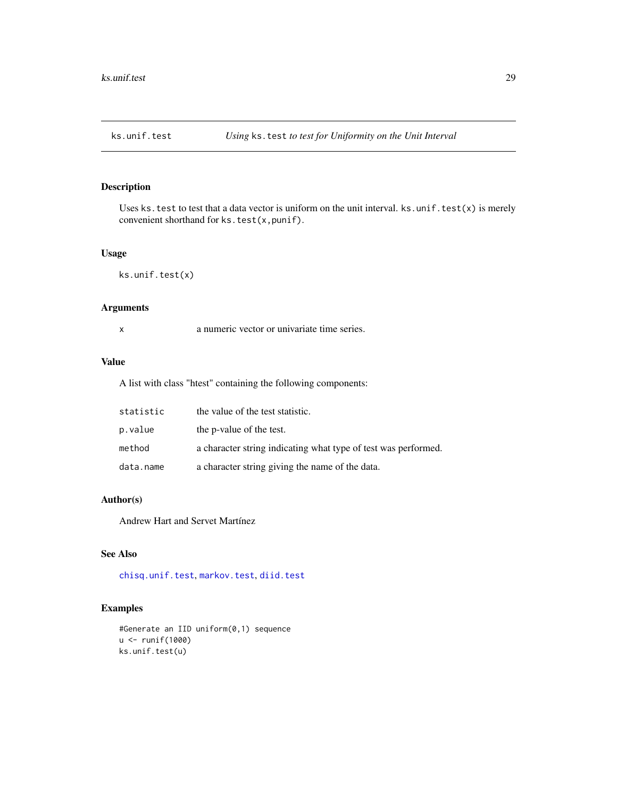<span id="page-28-1"></span><span id="page-28-0"></span>

Uses ks.test to test that a data vector is uniform on the unit interval. ks.unif.test(x) is merely convenient shorthand for ks.test(x,punif).

# Usage

ks.unif.test(x)

# Arguments

| a numeric vector or univariate time series. |  |  |  |
|---------------------------------------------|--|--|--|
|                                             |  |  |  |

# Value

A list with class "htest" containing the following components:

| statistic | the value of the test statistic.                               |
|-----------|----------------------------------------------------------------|
| p.value   | the p-value of the test.                                       |
| method    | a character string indicating what type of test was performed. |
| data.name | a character string giving the name of the data.                |

# Author(s)

Andrew Hart and Servet Martínez

# See Also

[chisq.unif.test](#page-16-1), [markov.test](#page-31-1), [diid.test](#page-23-1)

# Examples

```
#Generate an IID uniform(0,1) sequence
u <- runif(1000)
ks.unif.test(u)
```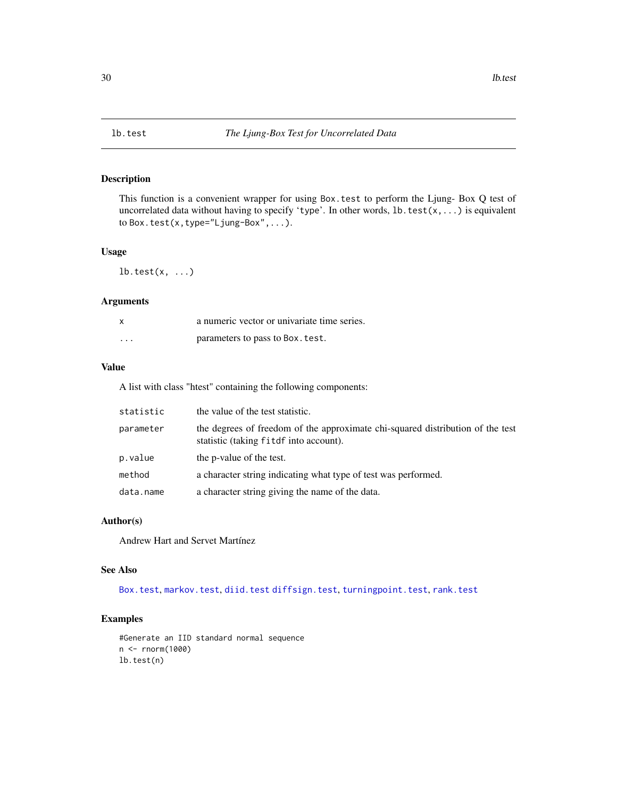<span id="page-29-1"></span><span id="page-29-0"></span>

This function is a convenient wrapper for using Box.test to perform the Ljung- Box Q test of uncorrelated data without having to specify 'type'. In other words, lb.test(x,...) is equivalent to Box.test(x,type="Ljung-Box",...).

#### Usage

 $lb.test(x, ...)$ 

# Arguments

| $\boldsymbol{\mathsf{x}}$ | a numeric vector or univariate time series. |
|---------------------------|---------------------------------------------|
| $\cdots$                  | parameters to pass to Box. test.            |

# Value

A list with class "htest" containing the following components:

| statistic | the value of the test statistic.                                                                                         |
|-----------|--------------------------------------------------------------------------------------------------------------------------|
| parameter | the degrees of freedom of the approximate chi-squared distribution of the test<br>statistic (taking fitdf into account). |
| p.value   | the p-value of the test.                                                                                                 |
| method    | a character string indicating what type of test was performed.                                                           |
| data.name | a character string giving the name of the data.                                                                          |

# Author(s)

Andrew Hart and Servet Martínez

## See Also

[Box.test](#page-0-0), [markov.test](#page-31-1), [diid.test](#page-23-1) [diffsign.test](#page-21-1), [turningpoint.test](#page-47-1), [rank.test](#page-39-1)

## Examples

```
#Generate an IID standard normal sequence
n <- rnorm(1000)
lb.test(n)
```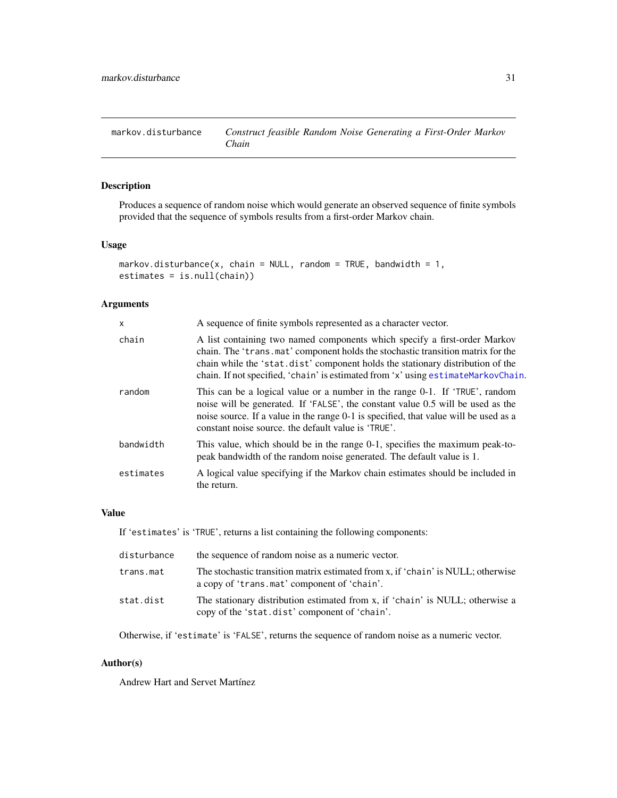<span id="page-30-1"></span><span id="page-30-0"></span>markov.disturbance *Construct feasible Random Noise Generating a First-Order Markov Chain*

# Description

Produces a sequence of random noise which would generate an observed sequence of finite symbols provided that the sequence of symbols results from a first-order Markov chain.

# Usage

```
markov.disturbance(x, chain = NULL, random = TRUE, bandwidth = 1,
estimates = is.null(chain))
```
### Arguments

| $\mathsf{x}$ | A sequence of finite symbols represented as a character vector.                                                                                                                                                                                                                                                                     |
|--------------|-------------------------------------------------------------------------------------------------------------------------------------------------------------------------------------------------------------------------------------------------------------------------------------------------------------------------------------|
| chain        | A list containing two named components which specify a first-order Markov<br>chain. The 'trans.mat' component holds the stochastic transition matrix for the<br>chain while the 'stat.dist' component holds the stationary distribution of the<br>chain. If not specified, 'chain' is estimated from 'x' using estimateMarkovChain. |
| random       | This can be a logical value or a number in the range 0-1. If 'TRUE', random<br>noise will be generated. If 'FALSE', the constant value 0.5 will be used as the<br>noise source. If a value in the range 0-1 is specified, that value will be used as a<br>constant noise source, the default value is 'TRUE'.                       |
| bandwidth    | This value, which should be in the range 0-1, specifies the maximum peak-to-<br>peak bandwidth of the random noise generated. The default value is 1.                                                                                                                                                                               |
| estimates    | A logical value specifying if the Markov chain estimates should be included in<br>the return.                                                                                                                                                                                                                                       |

#### Value

If 'estimates' is 'TRUE', returns a list containing the following components:

| disturbance | the sequence of random noise as a numeric vector.                                                                               |
|-------------|---------------------------------------------------------------------------------------------------------------------------------|
| trans.mat   | The stochastic transition matrix estimated from x, if 'chain' is NULL; otherwise<br>a copy of 'trans.mat' component of 'chain'. |
| stat.dist   | The stationary distribution estimated from x, if 'chain' is NULL; otherwise a<br>copy of the 'stat.dist' component of 'chain'.  |

Otherwise, if 'estimate' is 'FALSE', returns the sequence of random noise as a numeric vector.

# Author(s)

Andrew Hart and Servet Martínez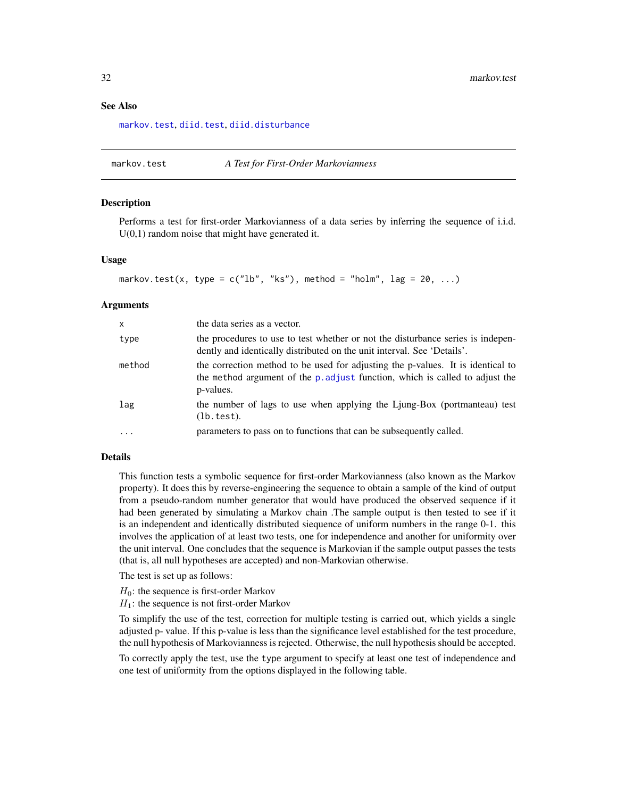<span id="page-31-0"></span>[markov.test](#page-31-1), [diid.test](#page-23-1), [diid.disturbance](#page-22-1)

#### <span id="page-31-1"></span>markov.test *A Test for First-Order Markovianness*

#### Description

Performs a test for first-order Markovianness of a data series by inferring the sequence of i.i.d.  $U(0,1)$  random noise that might have generated it.

#### Usage

```
markov.test(x, type = c("lb", "ks"), method = "holm", lag = 20, ...)
```
#### Arguments

| $\mathsf{x}$ | the data series as a vector.                                                                                                                                                 |
|--------------|------------------------------------------------------------------------------------------------------------------------------------------------------------------------------|
| type         | the procedures to use to test whether or not the disturbance series is indepen-<br>dently and identically distributed on the unit interval. See 'Details'.                   |
| method       | the correction method to be used for adjusting the p-values. It is identical to<br>the method argument of the p. adjust function, which is called to adjust the<br>p-values. |
| lag          | the number of lags to use when applying the Ljung-Box (portmanteau) test<br>(lb.test).                                                                                       |
| .            | parameters to pass on to functions that can be subsequently called.                                                                                                          |

#### Details

This function tests a symbolic sequence for first-order Markovianness (also known as the Markov property). It does this by reverse-engineering the sequence to obtain a sample of the kind of output from a pseudo-random number generator that would have produced the observed sequence if it had been generated by simulating a Markov chain .The sample output is then tested to see if it is an independent and identically distributed siequence of uniform numbers in the range 0-1. this involves the application of at least two tests, one for independence and another for uniformity over the unit interval. One concludes that the sequence is Markovian if the sample output passes the tests (that is, all null hypotheses are accepted) and non-Markovian otherwise.

The test is set up as follows:

- $H_0$ : the sequence is first-order Markov
- $H_1$ : the sequence is not first-order Markov

To simplify the use of the test, correction for multiple testing is carried out, which yields a single adjusted p- value. If this p-value is less than the significance level established for the test procedure, the null hypothesis of Markovianness is rejected. Otherwise, the null hypothesis should be accepted.

To correctly apply the test, use the type argument to specify at least one test of independence and one test of uniformity from the options displayed in the following table.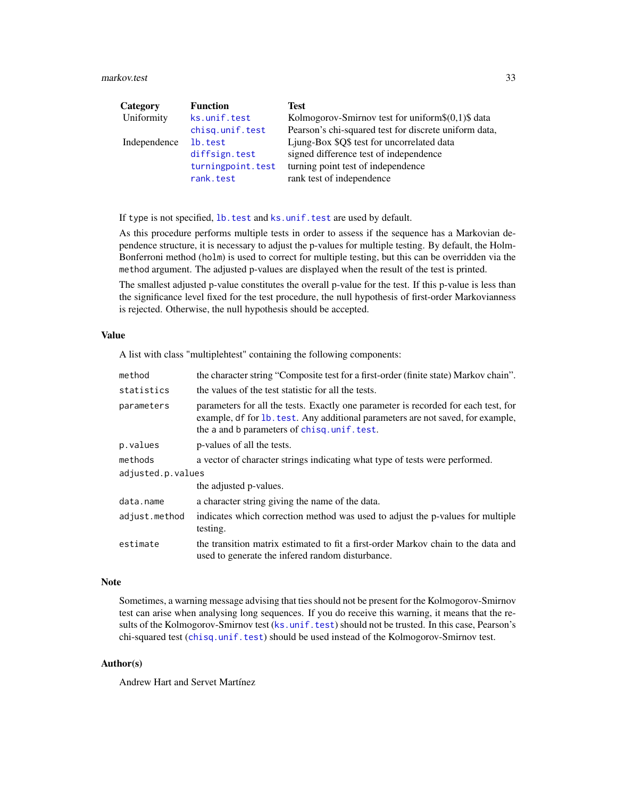#### <span id="page-32-0"></span>markov.test 33

| Category     | <b>Function</b>   | Test                                                  |
|--------------|-------------------|-------------------------------------------------------|
| Uniformity   | ks.unif.test      | Kolmogorov-Smirnov test for uniform\$ $(0,1)$ \$ data |
|              | chisq.unif.test   | Pearson's chi-squared test for discrete uniform data, |
| Independence | lb.test           | Ljung-Box \$Q\$ test for uncorrelated data            |
|              | diffsign.test     | signed difference test of independence                |
|              | turningpoint.test | turning point test of independence                    |
|              | rank.test         | rank test of independence                             |

If type is not specified, lb. test and ks.unif. test are used by default.

As this procedure performs multiple tests in order to assess if the sequence has a Markovian dependence structure, it is necessary to adjust the p-values for multiple testing. By default, the Holm-Bonferroni method (holm) is used to correct for multiple testing, but this can be overridden via the method argument. The adjusted p-values are displayed when the result of the test is printed.

The smallest adjusted p-value constitutes the overall p-value for the test. If this p-value is less than the significance level fixed for the test procedure, the null hypothesis of first-order Markovianness is rejected. Otherwise, the null hypothesis should be accepted.

#### Value

A list with class "multiplehtest" containing the following components:

| method            | the character string "Composite test for a first-order (finite state) Markov chain".                                                                                                                                |
|-------------------|---------------------------------------------------------------------------------------------------------------------------------------------------------------------------------------------------------------------|
| statistics        | the values of the test statistic for all the tests.                                                                                                                                                                 |
| parameters        | parameters for all the tests. Exactly one parameter is recorded for each test, for<br>example, df for 1b. test. Any additional parameters are not saved, for example,<br>the a and b parameters of chisq.unif.test. |
| p.values          | p-values of all the tests.                                                                                                                                                                                          |
| methods           | a vector of character strings indicating what type of tests were performed.                                                                                                                                         |
| adjusted.p.values |                                                                                                                                                                                                                     |
|                   | the adjusted p-values.                                                                                                                                                                                              |
| data.name         | a character string giving the name of the data.                                                                                                                                                                     |
| adjust.method     | indicates which correction method was used to adjust the p-values for multiple<br>testing.                                                                                                                          |
| estimate          | the transition matrix estimated to fit a first-order Markov chain to the data and<br>used to generate the infered random disturbance.                                                                               |

# Note

Sometimes, a warning message advising that ties should not be present for the Kolmogorov-Smirnov test can arise when analysing long sequences. If you do receive this warning, it means that the results of the Kolmogorov-Smirnov test (ks. unif.test) should not be trusted. In this case, Pearson's chi-squared test ([chisq.unif.test](#page-16-1)) should be used instead of the Kolmogorov-Smirnov test.

# Author(s)

Andrew Hart and Servet Martínez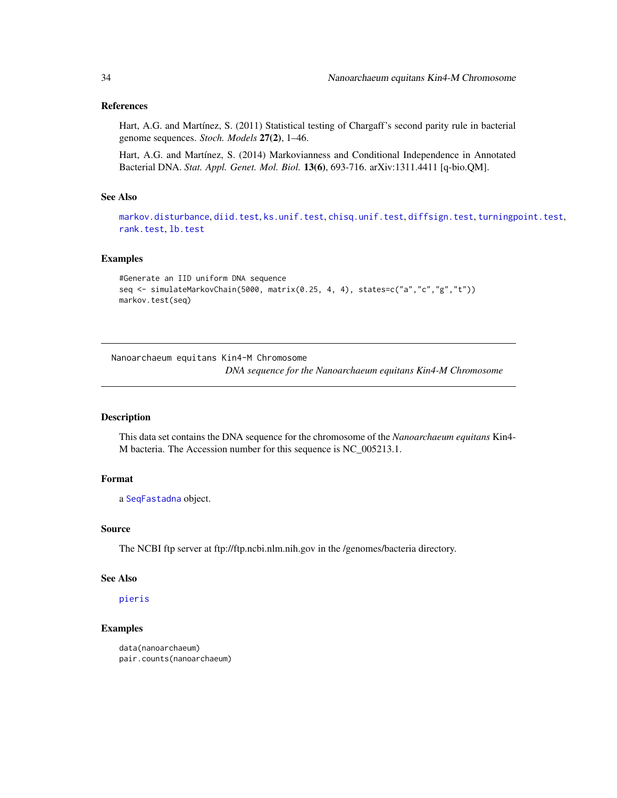# <span id="page-33-0"></span>References

Hart, A.G. and Martínez, S. (2011) Statistical testing of Chargaff's second parity rule in bacterial genome sequences. *Stoch. Models* 27(2), 1–46.

Hart, A.G. and Martínez, S. (2014) Markovianness and Conditional Independence in Annotated Bacterial DNA. *Stat. Appl. Genet. Mol. Biol.* 13(6), 693-716. arXiv:1311.4411 [q-bio.QM].

# See Also

[markov.disturbance](#page-30-1), [diid.test](#page-23-1), [ks.unif.test](#page-28-1), [chisq.unif.test](#page-16-1), [diffsign.test](#page-21-1), [turningpoint.test](#page-47-1), [rank.test](#page-39-1), [lb.test](#page-29-1)

#### Examples

```
#Generate an IID uniform DNA sequence
seq <- simulateMarkovChain(5000, matrix(0.25, 4, 4), states=c("a","c","g","t"))
markov.test(seq)
```
Nanoarchaeum equitans Kin4-M Chromosome

*DNA sequence for the Nanoarchaeum equitans Kin4-M Chromosome*

#### <span id="page-33-1"></span>Description

This data set contains the DNA sequence for the chromosome of the *Nanoarchaeum equitans* Kin4- M bacteria. The Accession number for this sequence is NC\_005213.1.

#### Format

a [SeqFastadna](#page-0-0) object.

#### Source

The NCBI ftp server at ftp://ftp.ncbi.nlm.nih.gov in the /genomes/bacteria directory.

# See Also

# [pieris](#page-37-1)

#### Examples

```
data(nanoarchaeum)
pair.counts(nanoarchaeum)
```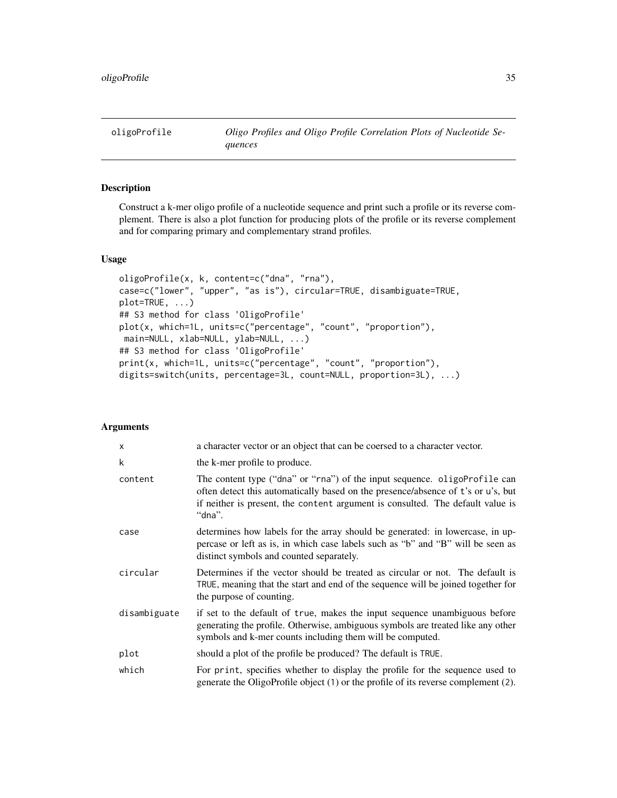<span id="page-34-1"></span><span id="page-34-0"></span>oligoProfile *Oligo Profiles and Oligo Profile Correlation Plots of Nucleotide Sequences*

# Description

Construct a k-mer oligo profile of a nucleotide sequence and print such a profile or its reverse complement. There is also a plot function for producing plots of the profile or its reverse complement and for comparing primary and complementary strand profiles.

#### Usage

```
oligoProfile(x, k, content=c("dna", "rna"),
case=c("lower", "upper", "as is"), circular=TRUE, disambiguate=TRUE,
plot=TRUE, ...)
## S3 method for class 'OligoProfile'
plot(x, which=1L, units=c("percentage", "count", "proportion"),
main=NULL, xlab=NULL, ylab=NULL, ...)
## S3 method for class 'OligoProfile'
print(x, which=1L, units=c("percentage", "count", "proportion"),
digits=switch(units, percentage=3L, count=NULL, proportion=3L), ...)
```
# Arguments

| X            | a character vector or an object that can be coersed to a character vector.                                                                                                                                                                                |
|--------------|-----------------------------------------------------------------------------------------------------------------------------------------------------------------------------------------------------------------------------------------------------------|
| k            | the k-mer profile to produce.                                                                                                                                                                                                                             |
| content      | The content type ("dna" or "rna") of the input sequence. oligoProfile can<br>often detect this automatically based on the presence/absence of t's or u's, but<br>if neither is present, the content argument is consulted. The default value is<br>"dna". |
| case         | determines how labels for the array should be generated: in lowercase, in up-<br>percase or left as is, in which case labels such as "b" and "B" will be seen as<br>distinct symbols and counted separately.                                              |
| circular     | Determines if the vector should be treated as circular or not. The default is<br>TRUE, meaning that the start and end of the sequence will be joined together for<br>the purpose of counting.                                                             |
| disambiguate | if set to the default of true, makes the input sequence unambiguous before<br>generating the profile. Otherwise, ambiguous symbols are treated like any other<br>symbols and k-mer counts including them will be computed.                                |
| plot         | should a plot of the profile be produced? The default is TRUE.                                                                                                                                                                                            |
| which        | For print, specifies whether to display the profile for the sequence used to<br>generate the OligoProfile object (1) or the profile of its reverse complement (2).                                                                                        |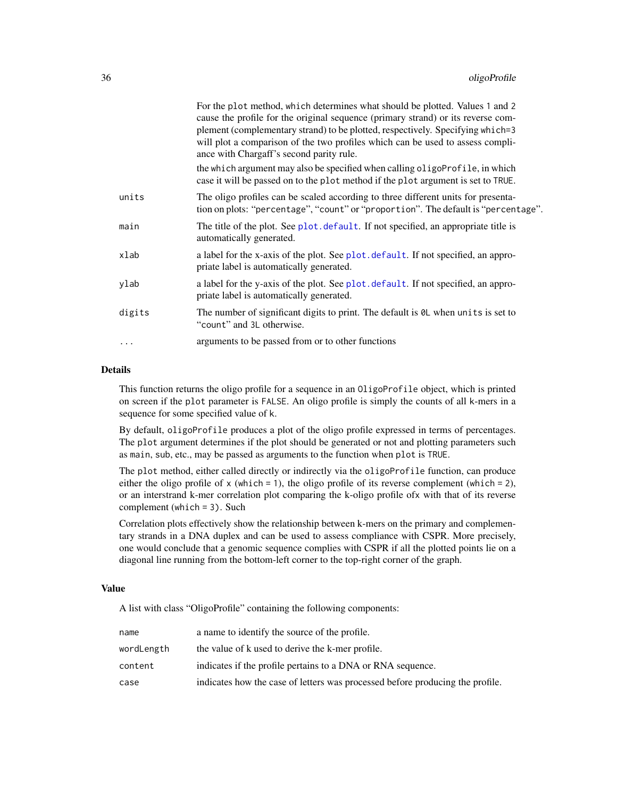<span id="page-35-0"></span>

|          | For the plot method, which determines what should be plotted. Values 1 and 2<br>cause the profile for the original sequence (primary strand) or its reverse com-<br>plement (complementary strand) to be plotted, respectively. Specifying which=3<br>will plot a comparison of the two profiles which can be used to assess compli-<br>ance with Chargaff's second parity rule. |
|----------|----------------------------------------------------------------------------------------------------------------------------------------------------------------------------------------------------------------------------------------------------------------------------------------------------------------------------------------------------------------------------------|
|          | the which argument may also be specified when calling oligoProfile, in which<br>case it will be passed on to the plot method if the plot argument is set to TRUE.                                                                                                                                                                                                                |
| units    | The oligo profiles can be scaled according to three different units for presenta-<br>tion on plots: "percentage", "count" or "proportion". The default is "percentage".                                                                                                                                                                                                          |
| main     | The title of the plot. See plot. default. If not specified, an appropriate title is<br>automatically generated.                                                                                                                                                                                                                                                                  |
| xlab     | a label for the x-axis of the plot. See plot. default. If not specified, an appro-<br>priate label is automatically generated.                                                                                                                                                                                                                                                   |
| ylab     | a label for the y-axis of the plot. See plot. default. If not specified, an appro-<br>priate label is automatically generated.                                                                                                                                                                                                                                                   |
| digits   | The number of significant digits to print. The default is $\theta$ L when units is set to<br>"count" and 3L otherwise.                                                                                                                                                                                                                                                           |
| $\cdots$ | arguments to be passed from or to other functions                                                                                                                                                                                                                                                                                                                                |
|          |                                                                                                                                                                                                                                                                                                                                                                                  |

#### Details

This function returns the oligo profile for a sequence in an OligoProfile object, which is printed on screen if the plot parameter is FALSE. An oligo profile is simply the counts of all k-mers in a sequence for some specified value of k.

By default, oligoProfile produces a plot of the oligo profile expressed in terms of percentages. The plot argument determines if the plot should be generated or not and plotting parameters such as main, sub, etc., may be passed as arguments to the function when plot is TRUE.

The plot method, either called directly or indirectly via the oligoProfile function, can produce either the oligo profile of  $x$  (which = 1), the oligo profile of its reverse complement (which = 2), or an interstrand k-mer correlation plot comparing the k-oligo profile ofx with that of its reverse complement (which = 3). Such

Correlation plots effectively show the relationship between k-mers on the primary and complementary strands in a DNA duplex and can be used to assess compliance with CSPR. More precisely, one would conclude that a genomic sequence complies with CSPR if all the plotted points lie on a diagonal line running from the bottom-left corner to the top-right corner of the graph.

# Value

A list with class "OligoProfile" containing the following components:

| name       | a name to identify the source of the profile.                                 |
|------------|-------------------------------------------------------------------------------|
| wordLength | the value of k used to derive the k-mer profile.                              |
| content    | indicates if the profile pertains to a DNA or RNA sequence.                   |
| case       | indicates how the case of letters was processed before producing the profile. |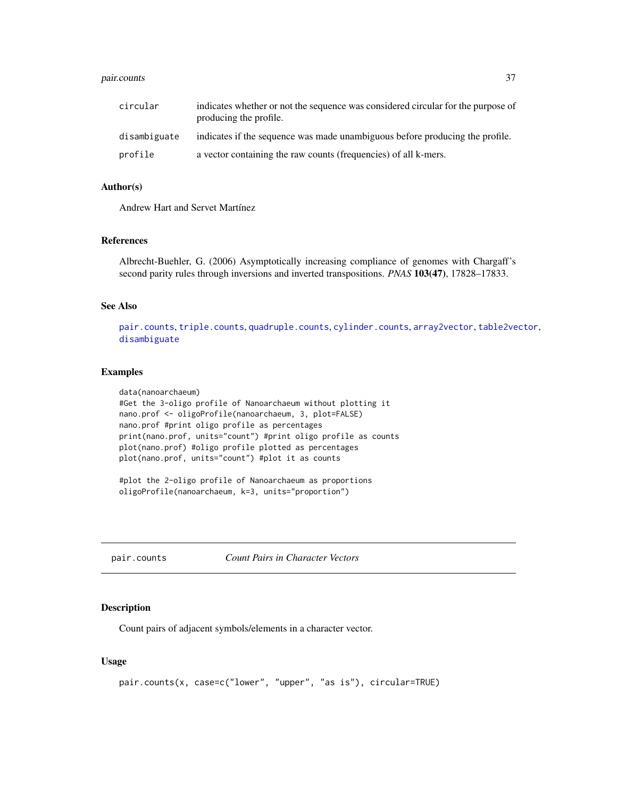#### <span id="page-36-0"></span>pair.counts 37

| circular     | indicates whether or not the sequence was considered circular for the purpose of<br>producing the profile. |
|--------------|------------------------------------------------------------------------------------------------------------|
| disambiguate | indicates if the sequence was made unambiguous before producing the profile.                               |
| profile      | a vector containing the raw counts (frequencies) of all k-mers.                                            |

# Author(s)

Andrew Hart and Servet Martínez

# References

Albrecht-Buehler, G. (2006) Asymptotically increasing compliance of genomes with Chargaff's second parity rules through inversions and inverted transpositions. *PNAS* 103(47), 17828–17833.

# See Also

[pair.counts](#page-36-1), [triple.counts](#page-46-1), [quadruple.counts](#page-38-1), [cylinder.counts](#page-19-1), [array2vector](#page-7-1), [table2vector](#page-7-2), [disambiguate](#page-26-1)

#### Examples

```
data(nanoarchaeum)
#Get the 3-oligo profile of Nanoarchaeum without plotting it
nano.prof <- oligoProfile(nanoarchaeum, 3, plot=FALSE)
nano.prof #print oligo profile as percentages
print(nano.prof, units="count") #print oligo profile as counts
plot(nano.prof) #oligo profile plotted as percentages
plot(nano.prof, units="count") #plot it as counts
```
#plot the 2-oligo profile of Nanoarchaeum as proportions oligoProfile(nanoarchaeum, k=3, units="proportion")

<span id="page-36-1"></span>pair.counts *Count Pairs in Character Vectors*

# Description

Count pairs of adjacent symbols/elements in a character vector.

#### Usage

```
pair.counts(x, case=c("lower", "upper", "as is"), circular=TRUE)
```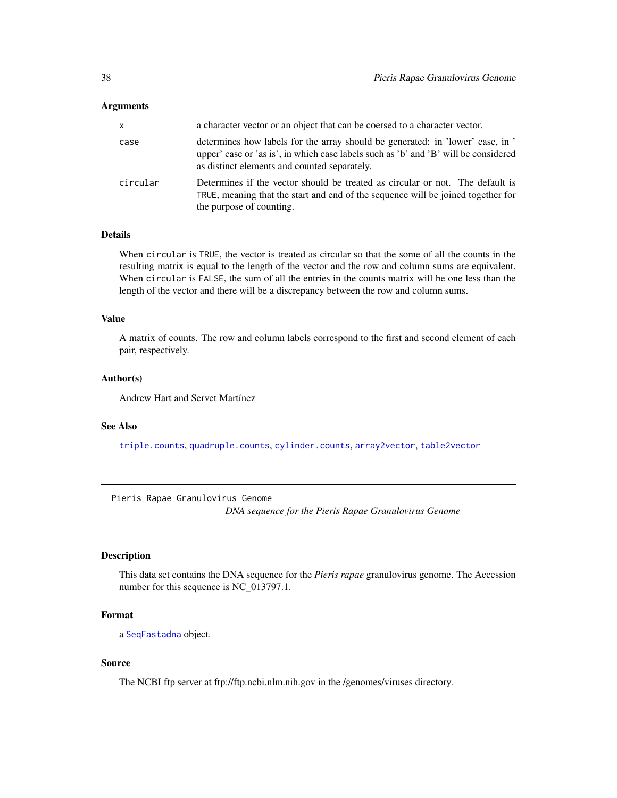#### <span id="page-37-0"></span>**Arguments**

| <b>x</b> | a character vector or an object that can be coersed to a character vector.                                                                                                                                            |
|----------|-----------------------------------------------------------------------------------------------------------------------------------------------------------------------------------------------------------------------|
| case     | determines how labels for the array should be generated: in 'lower' case, in '<br>upper' case or 'as is', in which case labels such as 'b' and 'B' will be considered<br>as distinct elements and counted separately. |
| circular | Determines if the vector should be treated as circular or not. The default is<br>TRUE, meaning that the start and end of the sequence will be joined together for<br>the purpose of counting.                         |

# Details

When circular is TRUE, the vector is treated as circular so that the some of all the counts in the resulting matrix is equal to the length of the vector and the row and column sums are equivalent. When circular is FALSE, the sum of all the entries in the counts matrix will be one less than the length of the vector and there will be a discrepancy between the row and column sums.

#### Value

A matrix of counts. The row and column labels correspond to the first and second element of each pair, respectively.

#### Author(s)

Andrew Hart and Servet Martínez

# See Also

[triple.counts](#page-46-1), [quadruple.counts](#page-38-1), [cylinder.counts](#page-19-1), [array2vector](#page-7-1), [table2vector](#page-7-2)

Pieris Rapae Granulovirus Genome

*DNA sequence for the Pieris Rapae Granulovirus Genome*

#### <span id="page-37-1"></span>Description

This data set contains the DNA sequence for the *Pieris rapae* granulovirus genome. The Accession number for this sequence is NC\_013797.1.

# Format

a [SeqFastadna](#page-0-0) object.

# Source

The NCBI ftp server at ftp://ftp.ncbi.nlm.nih.gov in the /genomes/viruses directory.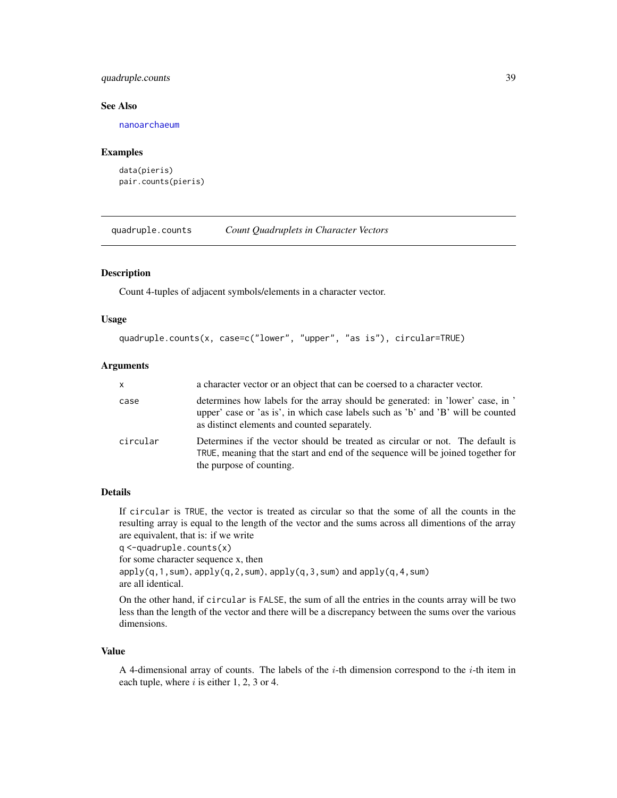# <span id="page-38-0"></span>quadruple.counts 39

#### See Also

[nanoarchaeum](#page-33-1)

#### Examples

```
data(pieris)
pair.counts(pieris)
```
<span id="page-38-1"></span>quadruple.counts *Count Quadruplets in Character Vectors*

#### Description

Count 4-tuples of adjacent symbols/elements in a character vector.

# Usage

```
quadruple.counts(x, case=c("lower", "upper", "as is"), circular=TRUE)
```
# Arguments

| <b>X</b> | a character vector or an object that can be coersed to a character vector.                                                                                                                                         |
|----------|--------------------------------------------------------------------------------------------------------------------------------------------------------------------------------------------------------------------|
| case     | determines how labels for the array should be generated: in 'lower' case, in '<br>upper' case or 'as is', in which case labels such as 'b' and 'B' will be counted<br>as distinct elements and counted separately. |
| circular | Determines if the vector should be treated as circular or not. The default is<br>TRUE, meaning that the start and end of the sequence will be joined together for<br>the purpose of counting.                      |

# Details

If circular is TRUE, the vector is treated as circular so that the some of all the counts in the resulting array is equal to the length of the vector and the sums across all dimentions of the array are equivalent, that is: if we write

q <-quadruple.counts(x)

for some character sequence x, then

 $apply(q,1,sum)$ ,  $apply(q,2,sum)$ ,  $apply(q,3,sum)$  and  $apply(q,4,sum)$ are all identical.

On the other hand, if circular is FALSE, the sum of all the entries in the counts array will be two less than the length of the vector and there will be a discrepancy between the sums over the various dimensions.

#### Value

A 4-dimensional array of counts. The labels of the  $i$ -th dimension correspond to the  $i$ -th item in each tuple, where  $i$  is either 1, 2, 3 or 4.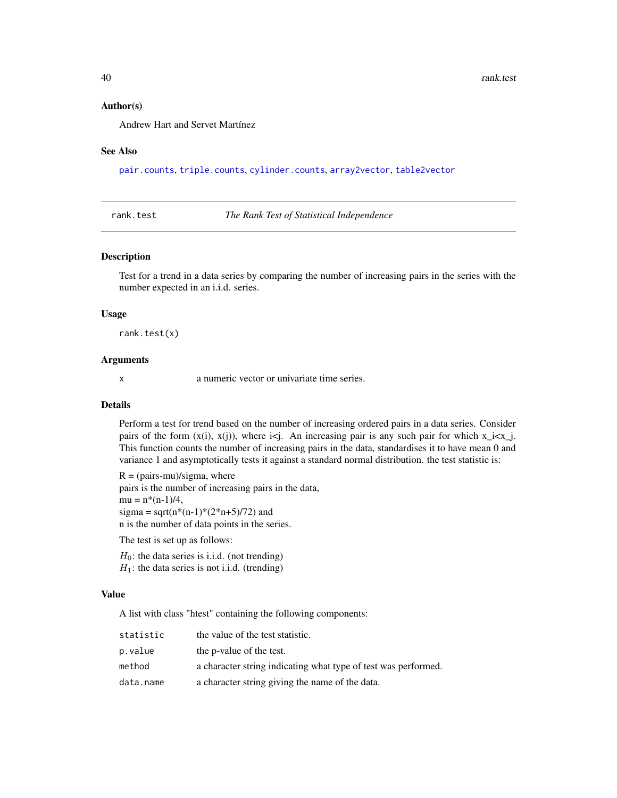#### Author(s)

Andrew Hart and Servet Martínez

#### See Also

[pair.counts](#page-36-1), [triple.counts](#page-46-1), [cylinder.counts](#page-19-1), [array2vector](#page-7-1), [table2vector](#page-7-2)

<span id="page-39-1"></span>rank.test *The Rank Test of Statistical Independence*

#### Description

Test for a trend in a data series by comparing the number of increasing pairs in the series with the number expected in an i.i.d. series.

#### Usage

rank.test(x)

# Arguments

x a numeric vector or univariate time series.

# Details

Perform a test for trend based on the number of increasing ordered pairs in a data series. Consider pairs of the form  $(x(i), x(j))$ , where  $i \leq j$ . An increasing pair is any such pair for which  $x_i \leq x_j$ . This function counts the number of increasing pairs in the data, standardises it to have mean 0 and variance 1 and asymptotically tests it against a standard normal distribution. the test statistic is:

 $R = (pairs-mu)/sigma$ , where pairs is the number of increasing pairs in the data,  $mu = n*(n-1)/4$ , sigma = sqrt(n\*(n-1)\*(2\*n+5)/72) and n is the number of data points in the series.

The test is set up as follows:

 $H_0$ : the data series is i.i.d. (not trending)  $H_1$ : the data series is not i.i.d. (trending)

### Value

A list with class "htest" containing the following components:

| statistic | the value of the test statistic.                               |
|-----------|----------------------------------------------------------------|
| p.value   | the p-value of the test.                                       |
| method    | a character string indicating what type of test was performed. |
| data.name | a character string giving the name of the data.                |

<span id="page-39-0"></span>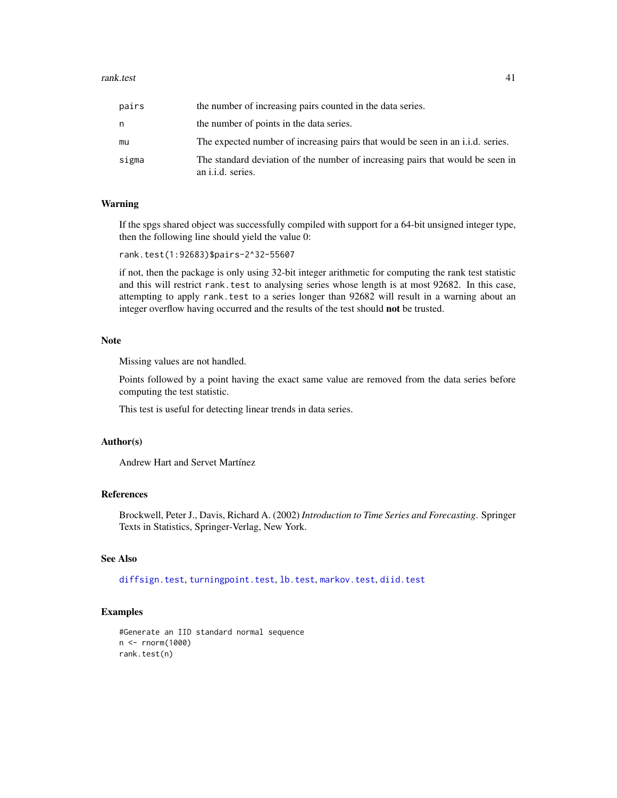#### <span id="page-40-0"></span>rank.test 41

| pairs | the number of increasing pairs counted in the data series.                                                 |
|-------|------------------------------------------------------------------------------------------------------------|
| n     | the number of points in the data series.                                                                   |
| mu    | The expected number of increasing pairs that would be seen in an i.i.d. series.                            |
| sigma | The standard deviation of the number of increasing pairs that would be seen in<br>an <i>i.i.d.</i> series. |

#### Warning

If the spgs shared object was successfully compiled with support for a 64-bit unsigned integer type, then the following line should yield the value 0:

rank.test(1:92683)\$pairs-2^32-55607

if not, then the package is only using 32-bit integer arithmetic for computing the rank test statistic and this will restrict rank.test to analysing series whose length is at most 92682. In this case, attempting to apply rank.test to a series longer than 92682 will result in a warning about an integer overflow having occurred and the results of the test should not be trusted.

#### Note

Missing values are not handled.

Points followed by a point having the exact same value are removed from the data series before computing the test statistic.

This test is useful for detecting linear trends in data series.

#### Author(s)

Andrew Hart and Servet Martínez

# References

Brockwell, Peter J., Davis, Richard A. (2002) *Introduction to Time Series and Forecasting*. Springer Texts in Statistics, Springer-Verlag, New York.

# See Also

[diffsign.test](#page-21-1), [turningpoint.test](#page-47-1), [lb.test](#page-29-1), [markov.test](#page-31-1), [diid.test](#page-23-1)

#### Examples

```
#Generate an IID standard normal sequence
n <- rnorm(1000)
rank.test(n)
```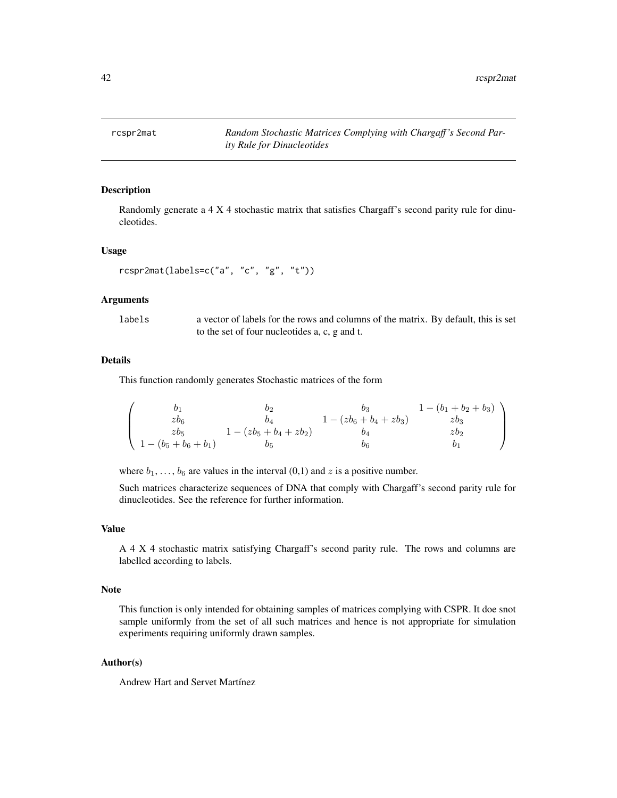<span id="page-41-1"></span><span id="page-41-0"></span>

Randomly generate a 4 X 4 stochastic matrix that satisfies Chargaff's second parity rule for dinucleotides.

#### Usage

```
rcspr2mat(labels=c("a", "c", "g", "t"))
```
#### Arguments

labels a vector of labels for the rows and columns of the matrix. By default, this is set to the set of four nucleotides a, c, g and t.

# Details

This function randomly generates Stochastic matrices of the form

$$
\left(\begin{array}{cccc}b_1&b_2&b_3&1-(b_1+b_2+b_3)\\zb_6&b_4&1-(zb_6+b_4+zb_3)&zb_3\\zb_5&1-(zb_5+b_4+zb_2)&b_4&zb_2\\1-(b_5+b_6+b_1)&b_5&b_6&b_1\end{array}\right)
$$

where  $b_1, \ldots, b_6$  are values in the interval  $(0,1)$  and z is a positive number.

Such matrices characterize sequences of DNA that comply with Chargaff's second parity rule for dinucleotides. See the reference for further information.

#### Value

A 4 X 4 stochastic matrix satisfying Chargaff's second parity rule. The rows and columns are labelled according to labels.

#### Note

This function is only intended for obtaining samples of matrices complying with CSPR. It doe snot sample uniformly from the set of all such matrices and hence is not appropriate for simulation experiments requiring uniformly drawn samples.

# Author(s)

Andrew Hart and Servet Martínez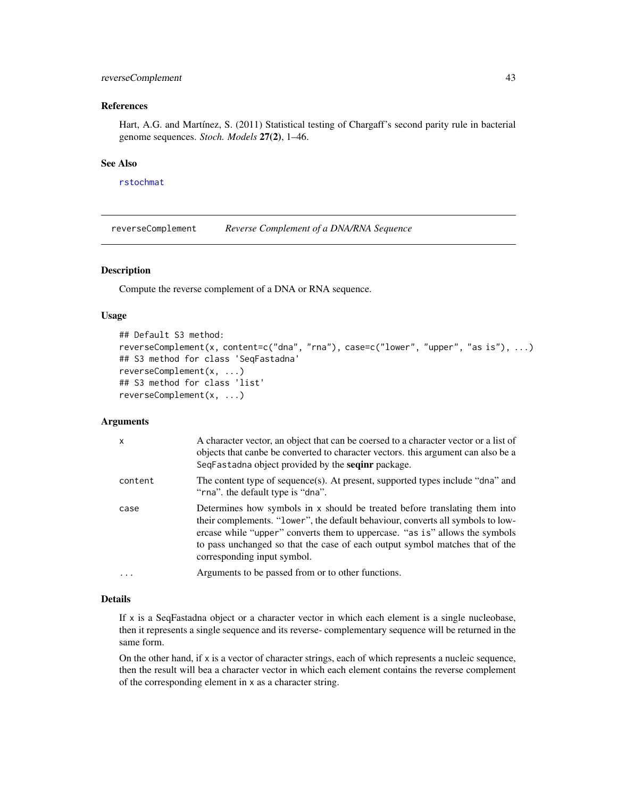# <span id="page-42-0"></span>reverseComplement 43

# References

Hart, A.G. and Martínez, S. (2011) Statistical testing of Chargaff's second parity rule in bacterial genome sequences. *Stoch. Models* 27(2), 1–46.

#### See Also

[rstochmat](#page-43-1)

<span id="page-42-1"></span>reverseComplement *Reverse Complement of a DNA/RNA Sequence*

#### Description

Compute the reverse complement of a DNA or RNA sequence.

# Usage

```
## Default S3 method:
reverseComplement(x, content=c("dna", "rna"), case=c("lower", "upper", "as is"), ...)
## S3 method for class 'SeqFastadna'
reverseComplement(x, ...)
## S3 method for class 'list'
reverseComplement(x, ...)
```
# **Arguments**

| x       | A character vector, an object that can be coersed to a character vector or a list of<br>objects that can be be converted to character vectors, this argument can also be a<br>SeqFastadna object provided by the <b>seqinr</b> package.                                                                                                                     |
|---------|-------------------------------------------------------------------------------------------------------------------------------------------------------------------------------------------------------------------------------------------------------------------------------------------------------------------------------------------------------------|
| content | The content type of sequence(s). At present, supported types include "dna" and<br>"rna" the default type is "dna".                                                                                                                                                                                                                                          |
| case    | Determines how symbols in x should be treated before translating them into<br>their complements. "lower", the default behaviour, converts all symbols to low-<br>ercase while "upper" converts them to uppercase. "as is" allows the symbols<br>to pass unchanged so that the case of each output symbol matches that of the<br>corresponding input symbol. |
| .       | Arguments to be passed from or to other functions.                                                                                                                                                                                                                                                                                                          |

# Details

If x is a SeqFastadna object or a character vector in which each element is a single nucleobase, then it represents a single sequence and its reverse- complementary sequence will be returned in the same form.

On the other hand, if  $x$  is a vector of character strings, each of which represents a nucleic sequence, then the result will bea a character vector in which each element contains the reverse complement of the corresponding element in x as a character string.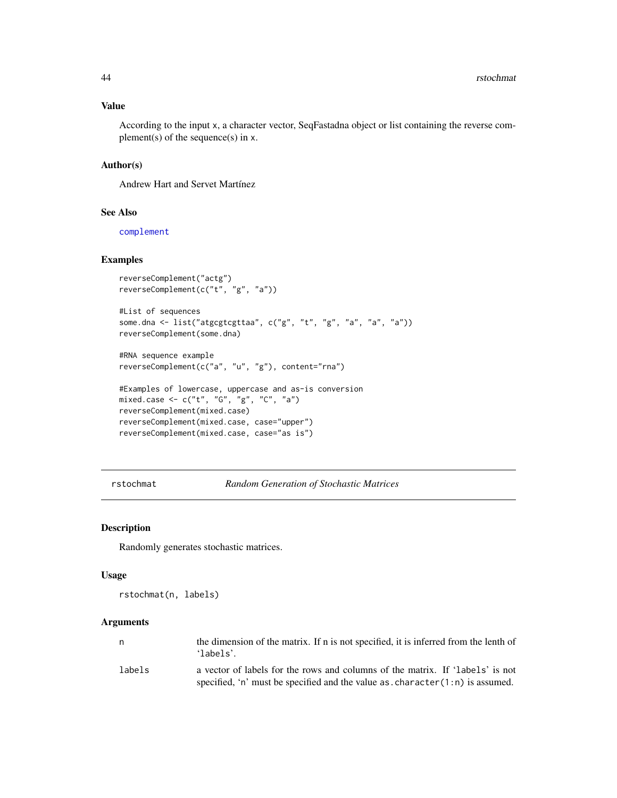# <span id="page-43-0"></span>Value

According to the input x, a character vector, SeqFastadna object or list containing the reverse complement(s) of the sequence(s) in  $x$ .

# Author(s)

Andrew Hart and Servet Martínez

# See Also

[complement](#page-17-1)

# Examples

```
reverseComplement("actg")
reverseComplement(c("t", "g", "a"))
```

```
#List of sequences
some.dna <- list("atgcgtcgttaa", c("g", "t", "g", "a", "a", "a"))
reverseComplement(some.dna)
```

```
#RNA sequence example
reverseComplement(c("a", "u", "g"), content="rna")
```

```
#Examples of lowercase, uppercase and as-is conversion
mixed.case <- c("t", "G", "g", "C", "a")
reverseComplement(mixed.case)
reverseComplement(mixed.case, case="upper")
reverseComplement(mixed.case, case="as is")
```
<span id="page-43-1"></span>rstochmat *Random Generation of Stochastic Matrices*

### Description

Randomly generates stochastic matrices.

#### Usage

rstochmat(n, labels)

#### Arguments

| n.     | the dimension of the matrix. If n is not specified, it is inferred from the lenth of<br>$'1$ abels'. |
|--------|------------------------------------------------------------------------------------------------------|
| labels | a vector of labels for the rows and columns of the matrix. If 'labels' is not                        |
|        | specified, 'n' must be specified and the value $as. character(1:n)$ is assumed.                      |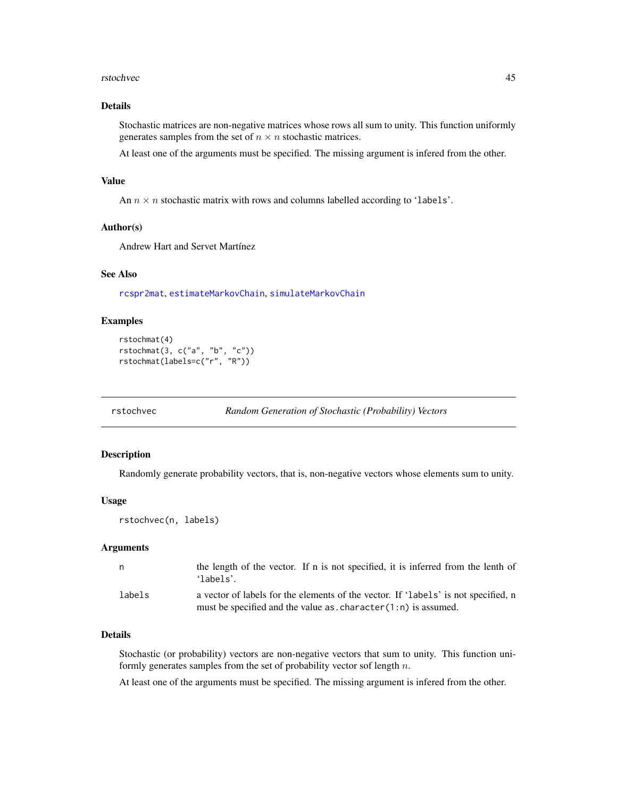#### <span id="page-44-0"></span>rstochvec **45**

# Details

Stochastic matrices are non-negative matrices whose rows all sum to unity. This function uniformly generates samples from the set of  $n \times n$  stochastic matrices.

At least one of the arguments must be specified. The missing argument is infered from the other.

#### Value

An  $n \times n$  stochastic matrix with rows and columns labelled according to 'labels'.

# Author(s)

Andrew Hart and Servet Martínez

#### See Also

[rcspr2mat](#page-41-1), [estimateMarkovChain](#page-27-1), [simulateMarkovChain](#page-45-1)

#### Examples

rstochmat(4) rstochmat(3, c("a", "b", "c")) rstochmat(labels=c("r", "R"))

<span id="page-44-1"></span>rstochvec *Random Generation of Stochastic (Probability) Vectors*

#### Description

Randomly generate probability vectors, that is, non-negative vectors whose elements sum to unity.

#### Usage

```
rstochvec(n, labels)
```
#### Arguments

| n.     | the length of the vector. If n is not specified, it is inferred from the lenth of<br>'labels'.                                                                 |
|--------|----------------------------------------------------------------------------------------------------------------------------------------------------------------|
| labels | a vector of labels for the elements of the vector. If 'labels' is not specified, n<br>must be specified and the value as $\cdot$ character $(1:n)$ is assumed. |

# Details

Stochastic (or probability) vectors are non-negative vectors that sum to unity. This function uniformly generates samples from the set of probability vector sof length  $n$ .

At least one of the arguments must be specified. The missing argument is infered from the other.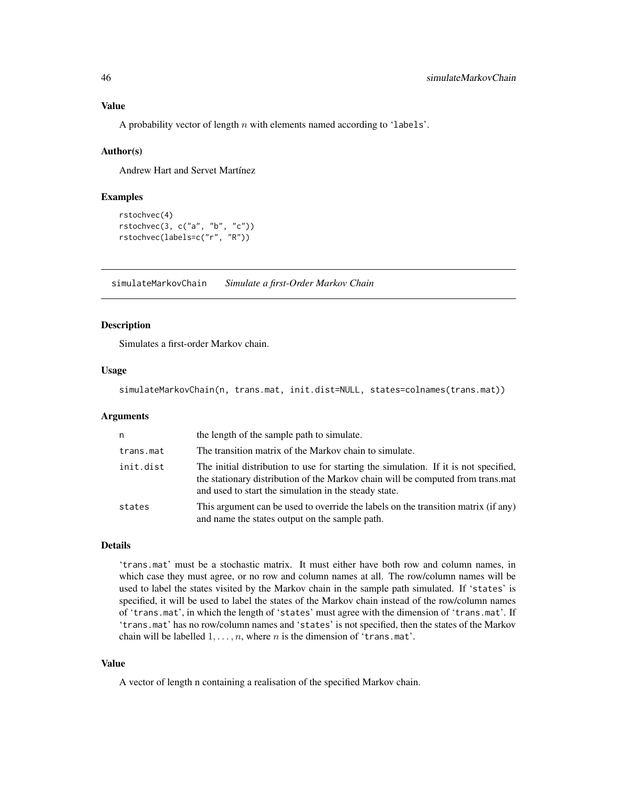# <span id="page-45-0"></span>Value

A probability vector of length  $n$  with elements named according to 'labels'.

# Author(s)

Andrew Hart and Servet Martínez

# Examples

```
rstochvec(4)
rstochvec(3, c("a", "b", "c"))
rstochvec(labels=c("r", "R"))
```
<span id="page-45-1"></span>simulateMarkovChain *Simulate a first-Order Markov Chain*

#### Description

Simulates a first-order Markov chain.

# Usage

simulateMarkovChain(n, trans.mat, init.dist=NULL, states=colnames(trans.mat))

#### Arguments

| n         | the length of the sample path to simulate.                                                                                                                                                                                       |
|-----------|----------------------------------------------------------------------------------------------------------------------------------------------------------------------------------------------------------------------------------|
| trans.mat | The transition matrix of the Markov chain to simulate.                                                                                                                                                                           |
| init.dist | The initial distribution to use for starting the simulation. If it is not specified,<br>the stationary distribution of the Markov chain will be computed from trans.mat<br>and used to start the simulation in the steady state. |
| states    | This argument can be used to override the labels on the transition matrix (if any)<br>and name the states output on the sample path.                                                                                             |

#### Details

'trans.mat' must be a stochastic matrix. It must either have both row and column names, in which case they must agree, or no row and column names at all. The row/column names will be used to label the states visited by the Markov chain in the sample path simulated. If 'states' is specified, it will be used to label the states of the Markov chain instead of the row/column names of 'trans.mat', in which the length of 'states' must agree with the dimension of 'trans.mat'. If 'trans.mat' has no row/column names and 'states' is not specified, then the states of the Markov chain will be labelled  $1, \ldots, n$ , where n is the dimension of 'trans.mat'.

#### Value

A vector of length n containing a realisation of the specified Markov chain.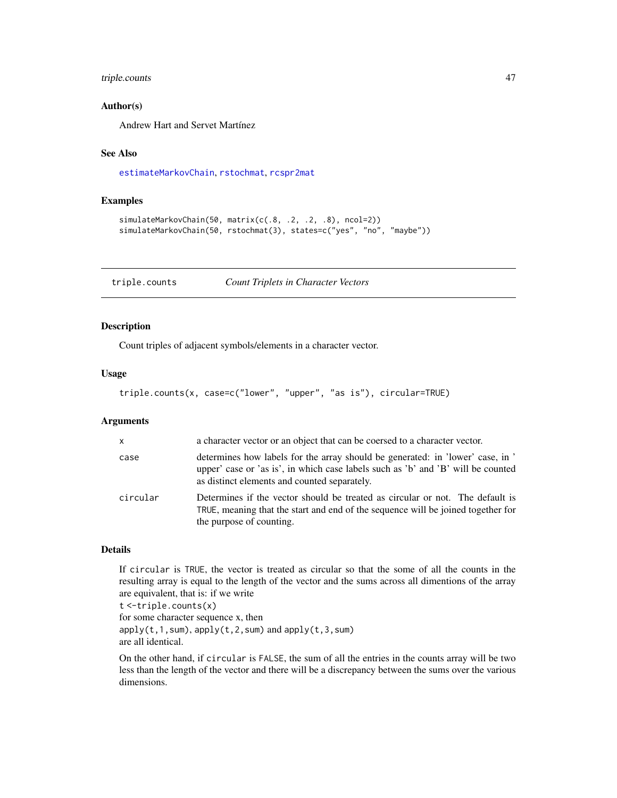# <span id="page-46-0"></span>triple.counts 47

#### Author(s)

Andrew Hart and Servet Martínez

# See Also

[estimateMarkovChain](#page-27-1), [rstochmat](#page-43-1), [rcspr2mat](#page-41-1)

# Examples

```
simulateMarkovChain(50, matrix(c(.8, .2, .2, .8), ncol=2))
simulateMarkovChain(50, rstochmat(3), states=c("yes", "no", "maybe"))
```
<span id="page-46-1"></span>triple.counts *Count Triplets in Character Vectors*

# Description

Count triples of adjacent symbols/elements in a character vector.

#### Usage

```
triple.counts(x, case=c("lower", "upper", "as is"), circular=TRUE)
```
# Arguments

| $\mathsf{X}$ | a character vector or an object that can be coersed to a character vector.                                                                                                                                         |
|--------------|--------------------------------------------------------------------------------------------------------------------------------------------------------------------------------------------------------------------|
| case         | determines how labels for the array should be generated: in 'lower' case, in '<br>upper' case or 'as is', in which case labels such as 'b' and 'B' will be counted<br>as distinct elements and counted separately. |
| circular     | Determines if the vector should be treated as circular or not. The default is<br>TRUE, meaning that the start and end of the sequence will be joined together for<br>the purpose of counting.                      |

# Details

If circular is TRUE, the vector is treated as circular so that the some of all the counts in the resulting array is equal to the length of the vector and the sums across all dimentions of the array are equivalent, that is: if we write

t <-triple.counts(x) for some character sequence x, then  $apply(t,1,sum)$ ,  $apply(t,2,sum)$  and  $apply(t,3,sum)$ are all identical.

On the other hand, if circular is FALSE, the sum of all the entries in the counts array will be two less than the length of the vector and there will be a discrepancy between the sums over the various dimensions.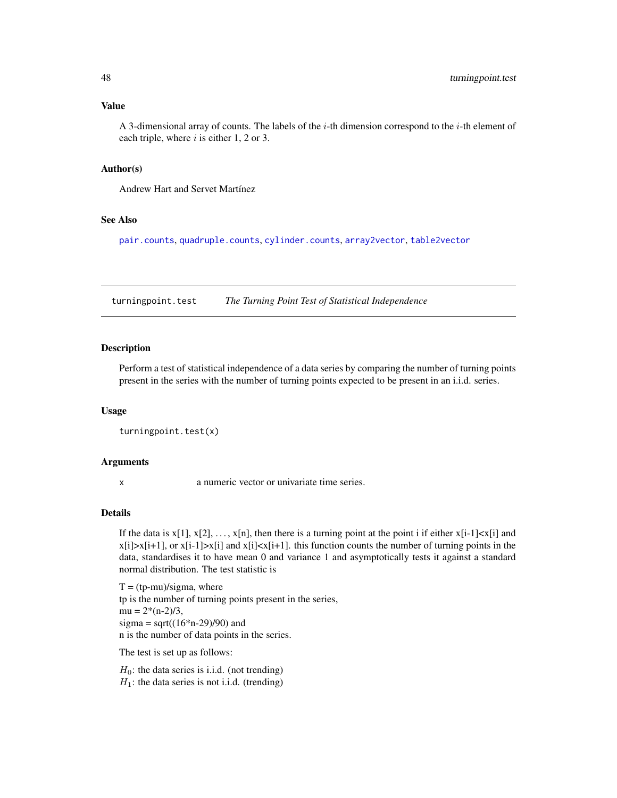# <span id="page-47-0"></span>Value

A 3-dimensional array of counts. The labels of the  $i$ -th dimension correspond to the  $i$ -th element of each triple, where  $i$  is either 1, 2 or 3.

#### Author(s)

Andrew Hart and Servet Martínez

# See Also

[pair.counts](#page-36-1), [quadruple.counts](#page-38-1), [cylinder.counts](#page-19-1), [array2vector](#page-7-1), [table2vector](#page-7-2)

<span id="page-47-1"></span>turningpoint.test *The Turning Point Test of Statistical Independence*

# Description

Perform a test of statistical independence of a data series by comparing the number of turning points present in the series with the number of turning points expected to be present in an i.i.d. series.

# Usage

```
turningpoint.test(x)
```
#### Arguments

x a numeric vector or univariate time series.

#### Details

If the data is  $x[1], x[2], \ldots, x[n]$ , then there is a turning point at the point i if either  $x[i-1] \lt x[i]$  and  $x[i]$ > $x[i+1]$ , or  $x[i-1]$ > $x[i]$  and  $x[i]*x[i+1]*$ . this function counts the number of turning points in the data, standardises it to have mean 0 and variance 1 and asymptotically tests it against a standard normal distribution. The test statistic is

 $T = (tp-mu)/sigma$ , where tp is the number of turning points present in the series,  $mu = 2*(n-2)/3$ , sigma = sqrt $((16*n-29)/90)$  and n is the number of data points in the series.

The test is set up as follows:

 $H_0$ : the data series is i.i.d. (not trending)  $H_1$ : the data series is not i.i.d. (trending)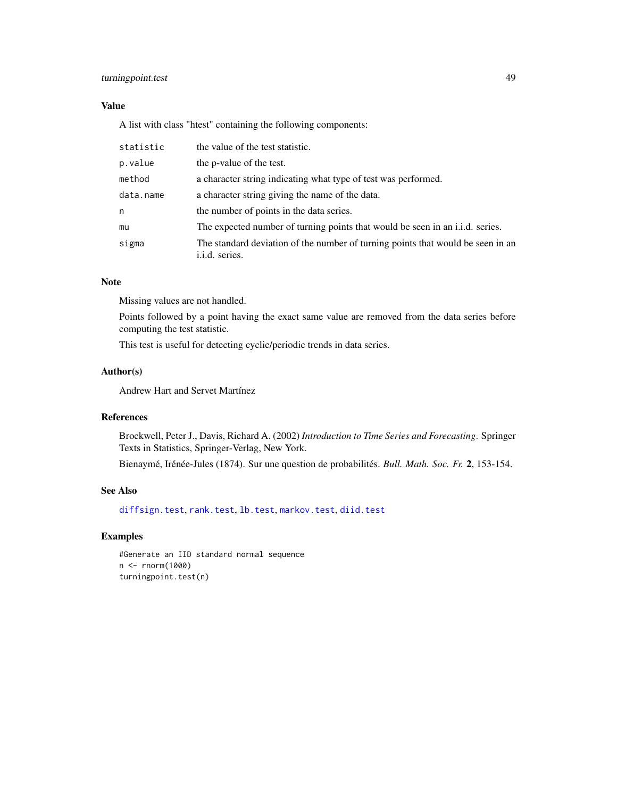# <span id="page-48-0"></span>turningpoint.test 49

# Value

A list with class "htest" containing the following components:

| statistic | the value of the test statistic.                                                                  |
|-----------|---------------------------------------------------------------------------------------------------|
| p.value   | the p-value of the test.                                                                          |
| method    | a character string indicating what type of test was performed.                                    |
| data.name | a character string giving the name of the data.                                                   |
| n         | the number of points in the data series.                                                          |
| mu        | The expected number of turning points that would be seen in an i.i.d. series.                     |
| sigma     | The standard deviation of the number of turning points that would be seen in an<br>i.i.d. series. |

# Note

Missing values are not handled.

Points followed by a point having the exact same value are removed from the data series before computing the test statistic.

This test is useful for detecting cyclic/periodic trends in data series.

# Author(s)

Andrew Hart and Servet Martínez

#### References

Brockwell, Peter J., Davis, Richard A. (2002) *Introduction to Time Series and Forecasting*. Springer Texts in Statistics, Springer-Verlag, New York.

Bienaymé, Irénée-Jules (1874). Sur une question de probabilités. *Bull. Math. Soc. Fr.* 2, 153-154.

# See Also

[diffsign.test](#page-21-1), [rank.test](#page-39-1), [lb.test](#page-29-1), [markov.test](#page-31-1), [diid.test](#page-23-1)

#### Examples

```
#Generate an IID standard normal sequence
n <- rnorm(1000)
turningpoint.test(n)
```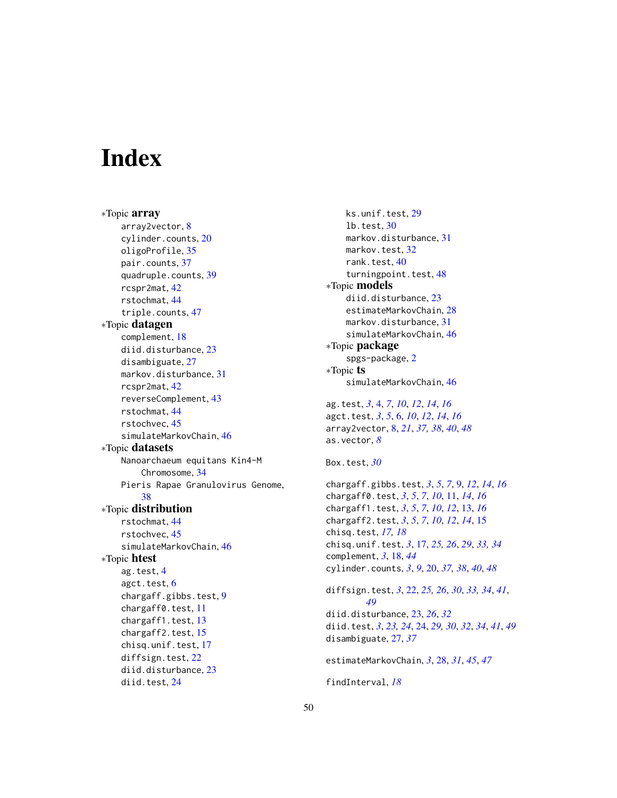# <span id="page-49-0"></span>**Index**

∗Topic array array2vector, [8](#page-7-0) cylinder.counts, [20](#page-19-0) oligoProfile, [35](#page-34-0) pair.counts, [37](#page-36-0) quadruple.counts, [39](#page-38-0) rcspr2mat, [42](#page-41-0) rstochmat, [44](#page-43-0) triple.counts, [47](#page-46-0) ∗Topic datagen complement, [18](#page-17-0) diid.disturbance, [23](#page-22-0) disambiguate, [27](#page-26-0) markov.disturbance, [31](#page-30-0) rcspr2mat, [42](#page-41-0) reverseComplement, [43](#page-42-0) rstochmat, [44](#page-43-0) rstochvec, [45](#page-44-0) simulateMarkovChain, [46](#page-45-0) ∗Topic datasets Nanoarchaeum equitans Kin4-M Chromosome, [34](#page-33-0) Pieris Rapae Granulovirus Genome, [38](#page-37-0) ∗Topic distribution rstochmat, [44](#page-43-0) rstochvec, [45](#page-44-0) simulateMarkovChain, [46](#page-45-0) ∗Topic htest ag.test, [4](#page-3-0) agct.test, [6](#page-5-0) chargaff.gibbs.test, [9](#page-8-0) chargaff0.test, [11](#page-10-0) chargaff1.test, [13](#page-12-0) chargaff2.test, [15](#page-14-0) chisq.unif.test, [17](#page-16-0) diffsign.test, [22](#page-21-0) diid.disturbance, [23](#page-22-0) diid.test, [24](#page-23-0)

ks.unif.test, [29](#page-28-0) lb.test, [30](#page-29-0) markov.disturbance, [31](#page-30-0) markov.test, [32](#page-31-0) rank.test, [40](#page-39-0) turningpoint.test, [48](#page-47-0) ∗Topic models diid.disturbance, [23](#page-22-0) estimateMarkovChain, [28](#page-27-0) markov.disturbance, [31](#page-30-0) simulateMarkovChain, [46](#page-45-0) ∗Topic package spgs-package, [2](#page-1-0) ∗Topic ts simulateMarkovChain, [46](#page-45-0) ag.test, *[3](#page-2-0)*, [4,](#page-3-0) *[7](#page-6-0)*, *[10](#page-9-0)*, *[12](#page-11-0)*, *[14](#page-13-0)*, *[16](#page-15-0)* agct.test, *[3](#page-2-0)*, *[5](#page-4-0)*, [6,](#page-5-0) *[10](#page-9-0)*, *[12](#page-11-0)*, *[14](#page-13-0)*, *[16](#page-15-0)* array2vector, [8,](#page-7-0) *[21](#page-20-0)*, *[37,](#page-36-0) [38](#page-37-0)*, *[40](#page-39-0)*, *[48](#page-47-0)* as.vector, *[8](#page-7-0)* Box.test, *[30](#page-29-0)* chargaff.gibbs.test, *[3](#page-2-0)*, *[5](#page-4-0)*, *[7](#page-6-0)*, [9,](#page-8-0) *[12](#page-11-0)*, *[14](#page-13-0)*, *[16](#page-15-0)* chargaff0.test, *[3](#page-2-0)*, *[5](#page-4-0)*, *[7](#page-6-0)*, *[10](#page-9-0)*, [11,](#page-10-0) *[14](#page-13-0)*, *[16](#page-15-0)* chargaff1.test, *[3](#page-2-0)*, *[5](#page-4-0)*, *[7](#page-6-0)*, *[10](#page-9-0)*, *[12](#page-11-0)*, [13,](#page-12-0) *[16](#page-15-0)* chargaff2.test, *[3](#page-2-0)*, *[5](#page-4-0)*, *[7](#page-6-0)*, *[10](#page-9-0)*, *[12](#page-11-0)*, *[14](#page-13-0)*, [15](#page-14-0) chisq.test, *[17,](#page-16-0) [18](#page-17-0)* chisq.unif.test, *[3](#page-2-0)*, [17,](#page-16-0) *[25,](#page-24-0) [26](#page-25-0)*, *[29](#page-28-0)*, *[33,](#page-32-0) [34](#page-33-0)* complement, *[3](#page-2-0)*, [18,](#page-17-0) *[44](#page-43-0)* cylinder.counts, *[3](#page-2-0)*, *[9](#page-8-0)*, [20,](#page-19-0) *[37,](#page-36-0) [38](#page-37-0)*, *[40](#page-39-0)*, *[48](#page-47-0)* diffsign.test, *[3](#page-2-0)*, [22,](#page-21-0) *[25,](#page-24-0) [26](#page-25-0)*, *[30](#page-29-0)*, *[33,](#page-32-0) [34](#page-33-0)*, *[41](#page-40-0)*, *[49](#page-48-0)* diid.disturbance, [23,](#page-22-0) *[26](#page-25-0)*, *[32](#page-31-0)* diid.test, *[3](#page-2-0)*, *[23,](#page-22-0) [24](#page-23-0)*, [24,](#page-23-0) *[29,](#page-28-0) [30](#page-29-0)*, *[32](#page-31-0)*, *[34](#page-33-0)*, *[41](#page-40-0)*, *[49](#page-48-0)* disambiguate, [27,](#page-26-0) *[37](#page-36-0)* estimateMarkovChain, *[3](#page-2-0)*, [28,](#page-27-0) *[31](#page-30-0)*, *[45](#page-44-0)*, *[47](#page-46-0)* findInterval, *[18](#page-17-0)*